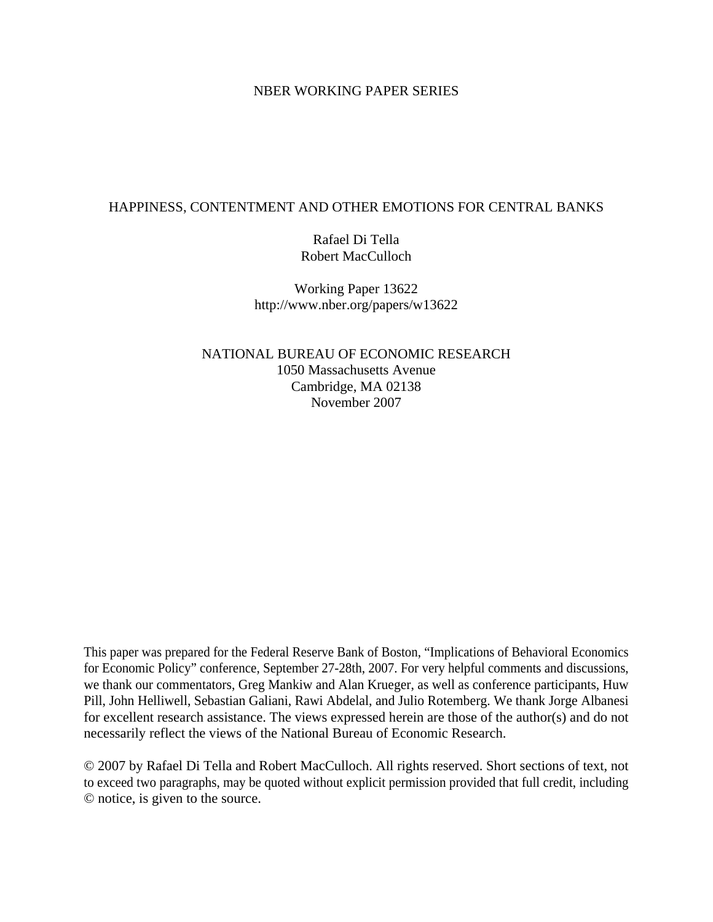## NBER WORKING PAPER SERIES

# HAPPINESS, CONTENTMENT AND OTHER EMOTIONS FOR CENTRAL BANKS

Rafael Di Tella Robert MacCulloch

Working Paper 13622 http://www.nber.org/papers/w13622

NATIONAL BUREAU OF ECONOMIC RESEARCH 1050 Massachusetts Avenue Cambridge, MA 02138 November 2007

This paper was prepared for the Federal Reserve Bank of Boston, "Implications of Behavioral Economics for Economic Policy" conference, September 27-28th, 2007. For very helpful comments and discussions, we thank our commentators, Greg Mankiw and Alan Krueger, as well as conference participants, Huw Pill, John Helliwell, Sebastian Galiani, Rawi Abdelal, and Julio Rotemberg. We thank Jorge Albanesi for excellent research assistance. The views expressed herein are those of the author(s) and do not necessarily reflect the views of the National Bureau of Economic Research.

© 2007 by Rafael Di Tella and Robert MacCulloch. All rights reserved. Short sections of text, not to exceed two paragraphs, may be quoted without explicit permission provided that full credit, including © notice, is given to the source.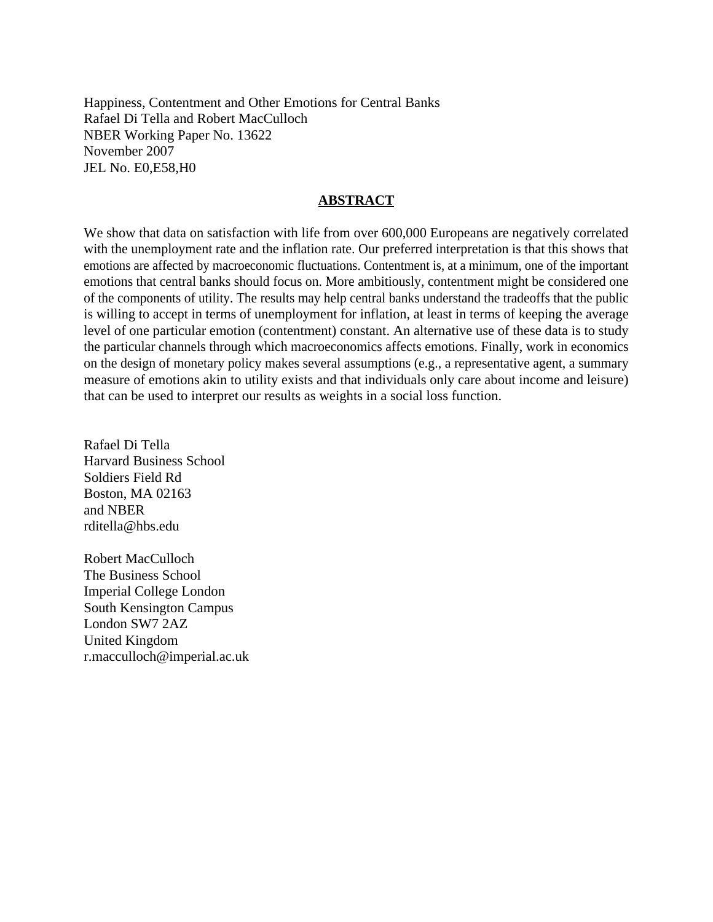Happiness, Contentment and Other Emotions for Central Banks Rafael Di Tella and Robert MacCulloch NBER Working Paper No. 13622 November 2007 JEL No. E0,E58,H0

## **ABSTRACT**

We show that data on satisfaction with life from over 600,000 Europeans are negatively correlated with the unemployment rate and the inflation rate. Our preferred interpretation is that this shows that emotions are affected by macroeconomic fluctuations. Contentment is, at a minimum, one of the important emotions that central banks should focus on. More ambitiously, contentment might be considered one of the components of utility. The results may help central banks understand the tradeoffs that the public is willing to accept in terms of unemployment for inflation, at least in terms of keeping the average level of one particular emotion (contentment) constant. An alternative use of these data is to study the particular channels through which macroeconomics affects emotions. Finally, work in economics on the design of monetary policy makes several assumptions (e.g., a representative agent, a summary measure of emotions akin to utility exists and that individuals only care about income and leisure) that can be used to interpret our results as weights in a social loss function.

Rafael Di Tella Harvard Business School Soldiers Field Rd Boston, MA 02163 and NBER rditella@hbs.edu

Robert MacCulloch The Business School Imperial College London South Kensington Campus London SW7 2AZ United Kingdom r.macculloch@imperial.ac.uk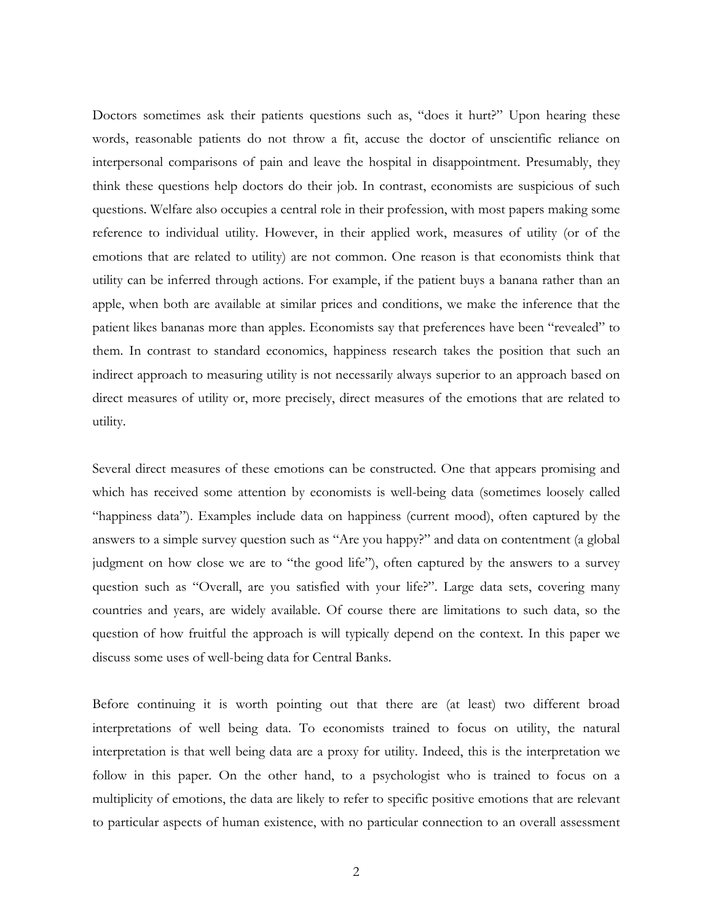Doctors sometimes ask their patients questions such as, "does it hurt?" Upon hearing these words, reasonable patients do not throw a fit, accuse the doctor of unscientific reliance on interpersonal comparisons of pain and leave the hospital in disappointment. Presumably, they think these questions help doctors do their job. In contrast, economists are suspicious of such questions. Welfare also occupies a central role in their profession, with most papers making some reference to individual utility. However, in their applied work, measures of utility (or of the emotions that are related to utility) are not common. One reason is that economists think that utility can be inferred through actions. For example, if the patient buys a banana rather than an apple, when both are available at similar prices and conditions, we make the inference that the patient likes bananas more than apples. Economists say that preferences have been "revealed" to them. In contrast to standard economics, happiness research takes the position that such an indirect approach to measuring utility is not necessarily always superior to an approach based on direct measures of utility or, more precisely, direct measures of the emotions that are related to utility.

Several direct measures of these emotions can be constructed. One that appears promising and which has received some attention by economists is well-being data (sometimes loosely called "happiness data"). Examples include data on happiness (current mood), often captured by the answers to a simple survey question such as "Are you happy?" and data on contentment (a global judgment on how close we are to "the good life"), often captured by the answers to a survey question such as "Overall, are you satisfied with your life?". Large data sets, covering many countries and years, are widely available. Of course there are limitations to such data, so the question of how fruitful the approach is will typically depend on the context. In this paper we discuss some uses of well-being data for Central Banks.

Before continuing it is worth pointing out that there are (at least) two different broad interpretations of well being data. To economists trained to focus on utility, the natural interpretation is that well being data are a proxy for utility. Indeed, this is the interpretation we follow in this paper. On the other hand, to a psychologist who is trained to focus on a multiplicity of emotions, the data are likely to refer to specific positive emotions that are relevant to particular aspects of human existence, with no particular connection to an overall assessment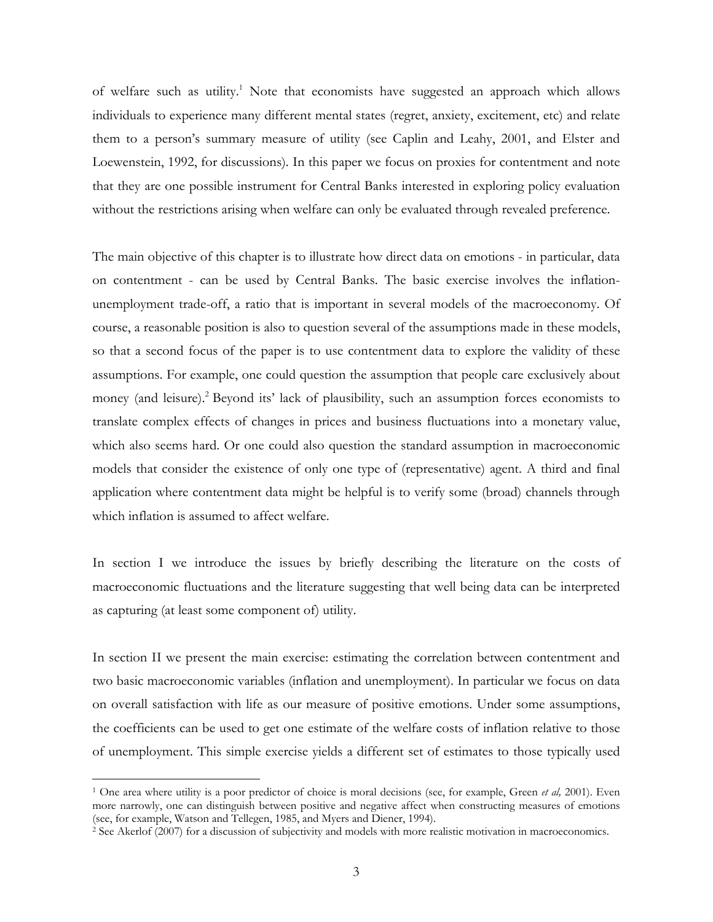of welfare such as utility.<sup>1</sup> Note that economists have suggested an approach which allows individuals to experience many different mental states (regret, anxiety, excitement, etc) and relate them to a person's summary measure of utility (see Caplin and Leahy, 2001, and Elster and Loewenstein, 1992, for discussions). In this paper we focus on proxies for contentment and note that they are one possible instrument for Central Banks interested in exploring policy evaluation without the restrictions arising when welfare can only be evaluated through revealed preference.

The main objective of this chapter is to illustrate how direct data on emotions - in particular, data on contentment - can be used by Central Banks. The basic exercise involves the inflationunemployment trade-off, a ratio that is important in several models of the macroeconomy. Of course, a reasonable position is also to question several of the assumptions made in these models, so that a second focus of the paper is to use contentment data to explore the validity of these assumptions. For example, one could question the assumption that people care exclusively about money (and leisure).<sup>2</sup> Beyond its' lack of plausibility, such an assumption forces economists to translate complex effects of changes in prices and business fluctuations into a monetary value, which also seems hard. Or one could also question the standard assumption in macroeconomic models that consider the existence of only one type of (representative) agent. A third and final application where contentment data might be helpful is to verify some (broad) channels through which inflation is assumed to affect welfare.

In section I we introduce the issues by briefly describing the literature on the costs of macroeconomic fluctuations and the literature suggesting that well being data can be interpreted as capturing (at least some component of) utility.

In section II we present the main exercise: estimating the correlation between contentment and two basic macroeconomic variables (inflation and unemployment). In particular we focus on data on overall satisfaction with life as our measure of positive emotions. Under some assumptions, the coefficients can be used to get one estimate of the welfare costs of inflation relative to those of unemployment. This simple exercise yields a different set of estimates to those typically used

<sup>1</sup> One area where utility is a poor predictor of choice is moral decisions (see, for example, Green *et al,* 2001). Even more narrowly, one can distinguish between positive and negative affect when constructing measures of emotions (see, for example, Watson and Tellegen, 1985, and Myers and Diener, 1994).

<sup>2</sup> See Akerlof (2007) for a discussion of subjectivity and models with more realistic motivation in macroeconomics.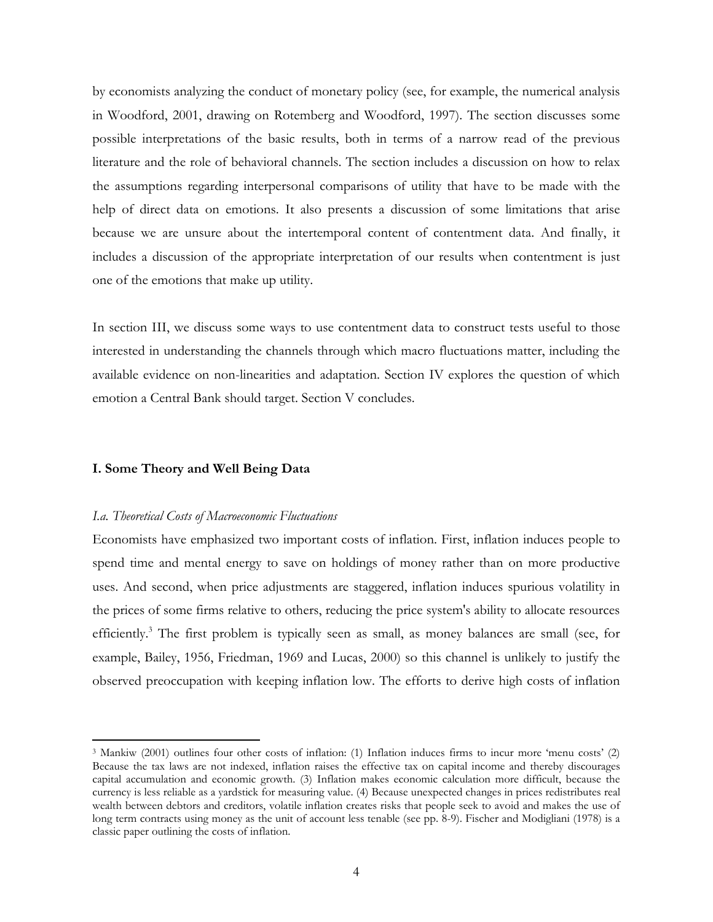by economists analyzing the conduct of monetary policy (see, for example, the numerical analysis in Woodford, 2001, drawing on Rotemberg and Woodford, 1997). The section discusses some possible interpretations of the basic results, both in terms of a narrow read of the previous literature and the role of behavioral channels. The section includes a discussion on how to relax the assumptions regarding interpersonal comparisons of utility that have to be made with the help of direct data on emotions. It also presents a discussion of some limitations that arise because we are unsure about the intertemporal content of contentment data. And finally, it includes a discussion of the appropriate interpretation of our results when contentment is just one of the emotions that make up utility.

In section III, we discuss some ways to use contentment data to construct tests useful to those interested in understanding the channels through which macro fluctuations matter, including the available evidence on non-linearities and adaptation. Section IV explores the question of which emotion a Central Bank should target. Section V concludes.

## **I. Some Theory and Well Being Data**

 $\overline{a}$ 

#### *I.a. Theoretical Costs of Macroeconomic Fluctuations*

Economists have emphasized two important costs of inflation. First, inflation induces people to spend time and mental energy to save on holdings of money rather than on more productive uses. And second, when price adjustments are staggered, inflation induces spurious volatility in the prices of some firms relative to others, reducing the price system's ability to allocate resources efficiently.<sup>3</sup> The first problem is typically seen as small, as money balances are small (see, for example, Bailey, 1956, Friedman, 1969 and Lucas, 2000) so this channel is unlikely to justify the observed preoccupation with keeping inflation low. The efforts to derive high costs of inflation

<sup>3</sup> Mankiw (2001) outlines four other costs of inflation: (1) Inflation induces firms to incur more 'menu costs' (2) Because the tax laws are not indexed, inflation raises the effective tax on capital income and thereby discourages capital accumulation and economic growth. (3) Inflation makes economic calculation more difficult, because the currency is less reliable as a yardstick for measuring value. (4) Because unexpected changes in prices redistributes real wealth between debtors and creditors, volatile inflation creates risks that people seek to avoid and makes the use of long term contracts using money as the unit of account less tenable (see pp. 8-9). Fischer and Modigliani (1978) is a classic paper outlining the costs of inflation.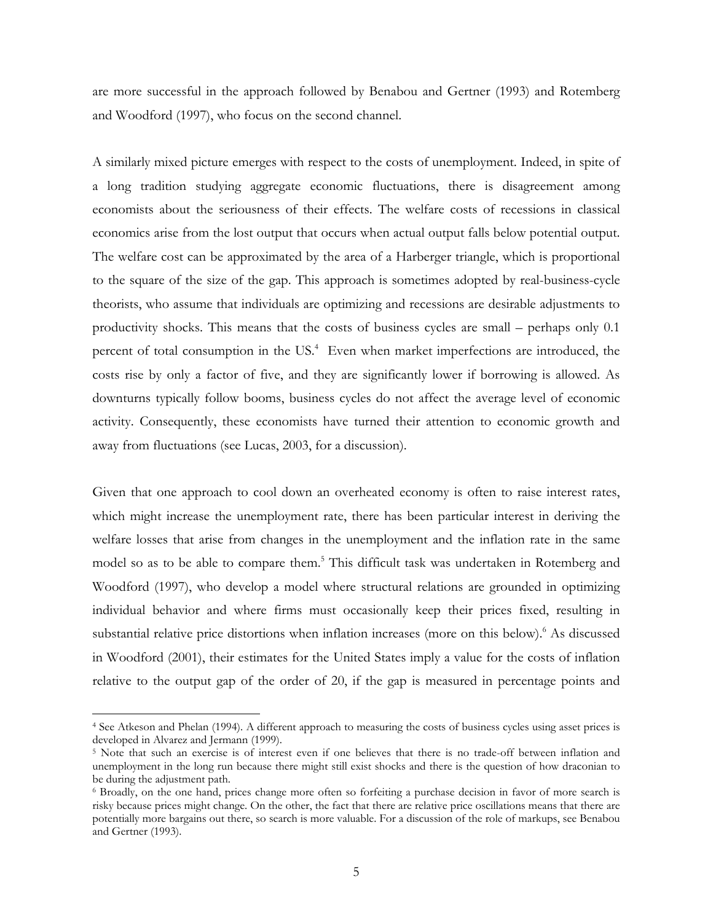are more successful in the approach followed by Benabou and Gertner (1993) and Rotemberg and Woodford (1997), who focus on the second channel.

A similarly mixed picture emerges with respect to the costs of unemployment. Indeed, in spite of a long tradition studying aggregate economic fluctuations, there is disagreement among economists about the seriousness of their effects. The welfare costs of recessions in classical economics arise from the lost output that occurs when actual output falls below potential output. The welfare cost can be approximated by the area of a Harberger triangle, which is proportional to the square of the size of the gap. This approach is sometimes adopted by real-business-cycle theorists, who assume that individuals are optimizing and recessions are desirable adjustments to productivity shocks. This means that the costs of business cycles are small – perhaps only 0.1 percent of total consumption in the US.<sup>4</sup> Even when market imperfections are introduced, the costs rise by only a factor of five, and they are significantly lower if borrowing is allowed. As downturns typically follow booms, business cycles do not affect the average level of economic activity. Consequently, these economists have turned their attention to economic growth and away from fluctuations (see Lucas, 2003, for a discussion).

Given that one approach to cool down an overheated economy is often to raise interest rates, which might increase the unemployment rate, there has been particular interest in deriving the welfare losses that arise from changes in the unemployment and the inflation rate in the same model so as to be able to compare them.<sup>5</sup> This difficult task was undertaken in Rotemberg and Woodford (1997), who develop a model where structural relations are grounded in optimizing individual behavior and where firms must occasionally keep their prices fixed, resulting in substantial relative price distortions when inflation increases (more on this below).<sup>6</sup> As discussed in Woodford (2001), their estimates for the United States imply a value for the costs of inflation relative to the output gap of the order of 20, if the gap is measured in percentage points and

<sup>4</sup> See Atkeson and Phelan (1994). A different approach to measuring the costs of business cycles using asset prices is developed in Alvarez and Jermann (1999).

<sup>5</sup> Note that such an exercise is of interest even if one believes that there is no trade-off between inflation and unemployment in the long run because there might still exist shocks and there is the question of how draconian to be during the adjustment path.

<sup>6</sup> Broadly, on the one hand, prices change more often so forfeiting a purchase decision in favor of more search is risky because prices might change. On the other, the fact that there are relative price oscillations means that there are potentially more bargains out there, so search is more valuable. For a discussion of the role of markups, see Benabou and Gertner (1993).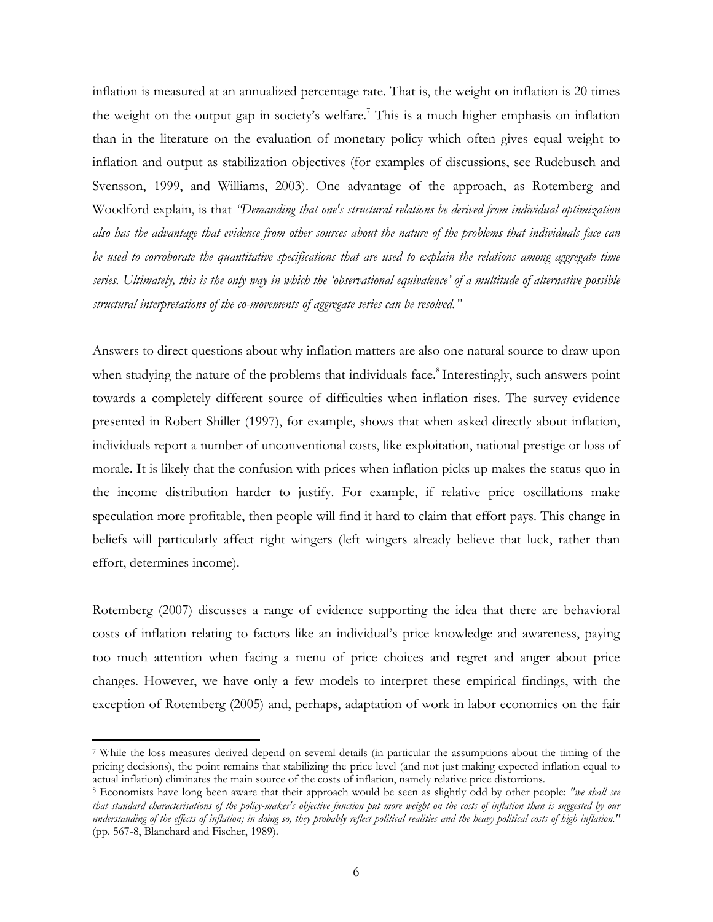inflation is measured at an annualized percentage rate. That is, the weight on inflation is 20 times the weight on the output gap in society's welfare.<sup>7</sup> This is a much higher emphasis on inflation than in the literature on the evaluation of monetary policy which often gives equal weight to inflation and output as stabilization objectives (for examples of discussions, see Rudebusch and Svensson, 1999, and Williams, 2003). One advantage of the approach, as Rotemberg and Woodford explain, is that *"Demanding that one's structural relations be derived from individual optimization also has the advantage that evidence from other sources about the nature of the problems that individuals face can*  be used to corroborate the quantitative specifications that are used to explain the relations among aggregate time *series. Ultimately, this is the only way in which the 'observational equivalence' of a multitude of alternative possible structural interpretations of the co-movements of aggregate series can be resolved."*

Answers to direct questions about why inflation matters are also one natural source to draw upon when studying the nature of the problems that individuals face.<sup>8</sup> Interestingly, such answers point towards a completely different source of difficulties when inflation rises. The survey evidence presented in Robert Shiller (1997), for example, shows that when asked directly about inflation, individuals report a number of unconventional costs, like exploitation, national prestige or loss of morale. It is likely that the confusion with prices when inflation picks up makes the status quo in the income distribution harder to justify. For example, if relative price oscillations make speculation more profitable, then people will find it hard to claim that effort pays. This change in beliefs will particularly affect right wingers (left wingers already believe that luck, rather than effort, determines income).

Rotemberg (2007) discusses a range of evidence supporting the idea that there are behavioral costs of inflation relating to factors like an individual's price knowledge and awareness, paying too much attention when facing a menu of price choices and regret and anger about price changes. However, we have only a few models to interpret these empirical findings, with the exception of Rotemberg (2005) and, perhaps, adaptation of work in labor economics on the fair

<sup>7</sup> While the loss measures derived depend on several details (in particular the assumptions about the timing of the pricing decisions), the point remains that stabilizing the price level (and not just making expected inflation equal to actual inflation) eliminates the main source of the costs of inflation, namely relative price distortions.<br><sup>8</sup> Economists have long been aware that their approach would be seen as slightly odd by other people: "*we shall s* 

*that standard characterisations of the policy-maker's objective function put more weight on the costs of inflation than is suggested by our understanding of the effects of inflation; in doing so, they probably reflect political realities and the heavy political costs of high inflation."* (pp. 567-8, Blanchard and Fischer, 1989).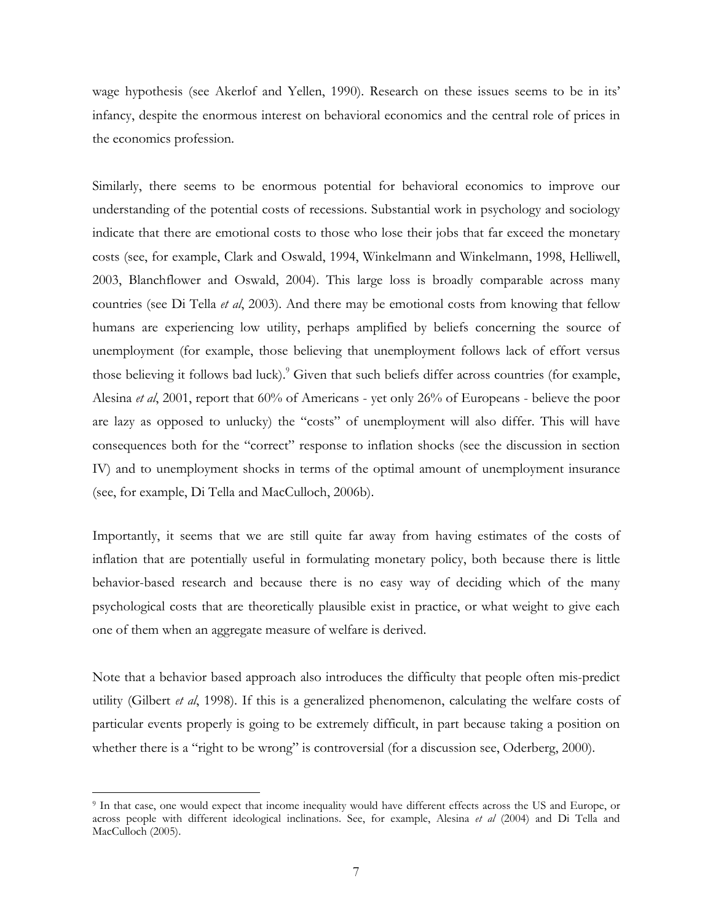wage hypothesis (see Akerlof and Yellen, 1990). Research on these issues seems to be in its' infancy, despite the enormous interest on behavioral economics and the central role of prices in the economics profession.

Similarly, there seems to be enormous potential for behavioral economics to improve our understanding of the potential costs of recessions. Substantial work in psychology and sociology indicate that there are emotional costs to those who lose their jobs that far exceed the monetary costs (see, for example, Clark and Oswald, 1994, Winkelmann and Winkelmann, 1998, Helliwell, 2003, Blanchflower and Oswald, 2004). This large loss is broadly comparable across many countries (see Di Tella *et al*, 2003). And there may be emotional costs from knowing that fellow humans are experiencing low utility, perhaps amplified by beliefs concerning the source of unemployment (for example, those believing that unemployment follows lack of effort versus those believing it follows bad luck).<sup>9</sup> Given that such beliefs differ across countries (for example, Alesina *et al*, 2001, report that 60% of Americans - yet only 26% of Europeans - believe the poor are lazy as opposed to unlucky) the "costs" of unemployment will also differ. This will have consequences both for the "correct" response to inflation shocks (see the discussion in section IV) and to unemployment shocks in terms of the optimal amount of unemployment insurance (see, for example, Di Tella and MacCulloch, 2006b).

Importantly, it seems that we are still quite far away from having estimates of the costs of inflation that are potentially useful in formulating monetary policy, both because there is little behavior-based research and because there is no easy way of deciding which of the many psychological costs that are theoretically plausible exist in practice, or what weight to give each one of them when an aggregate measure of welfare is derived.

Note that a behavior based approach also introduces the difficulty that people often mis-predict utility (Gilbert *et al*, 1998). If this is a generalized phenomenon, calculating the welfare costs of particular events properly is going to be extremely difficult, in part because taking a position on whether there is a "right to be wrong" is controversial (for a discussion see, Oderberg, 2000).

<sup>9</sup> In that case, one would expect that income inequality would have different effects across the US and Europe, or across people with different ideological inclinations. See, for example, Alesina *et al* (2004) and Di Tella and MacCulloch (2005).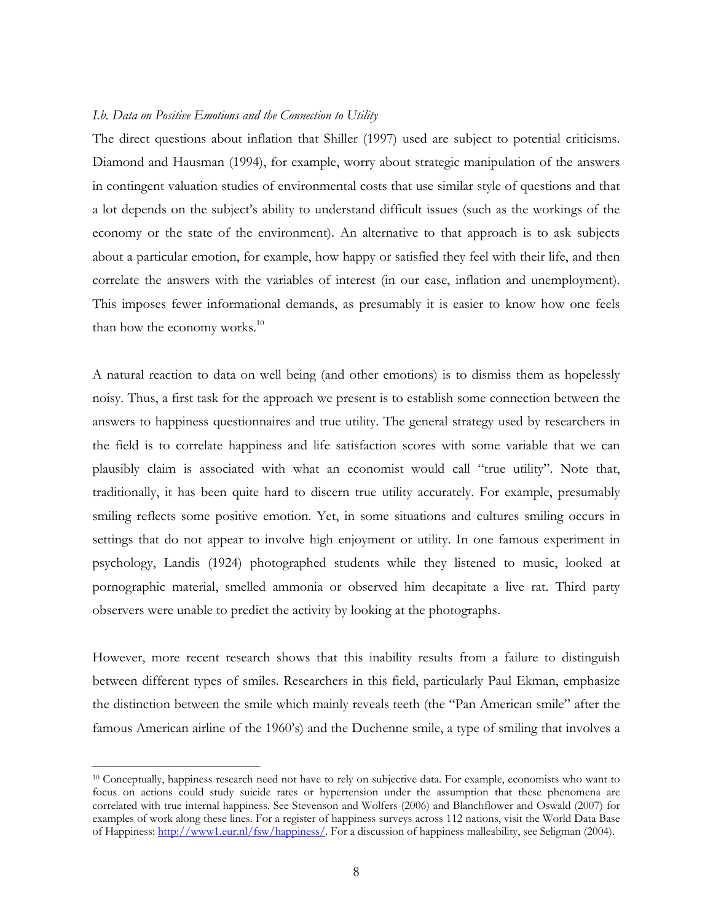### *I.b. Data on Positive Emotions and the Connection to Utility*

The direct questions about inflation that Shiller (1997) used are subject to potential criticisms. Diamond and Hausman (1994), for example, worry about strategic manipulation of the answers in contingent valuation studies of environmental costs that use similar style of questions and that a lot depends on the subject's ability to understand difficult issues (such as the workings of the economy or the state of the environment). An alternative to that approach is to ask subjects about a particular emotion, for example, how happy or satisfied they feel with their life, and then correlate the answers with the variables of interest (in our case, inflation and unemployment). This imposes fewer informational demands, as presumably it is easier to know how one feels than how the economy works. $^{10}$ 

A natural reaction to data on well being (and other emotions) is to dismiss them as hopelessly noisy. Thus, a first task for the approach we present is to establish some connection between the answers to happiness questionnaires and true utility. The general strategy used by researchers in the field is to correlate happiness and life satisfaction scores with some variable that we can plausibly claim is associated with what an economist would call "true utility". Note that, traditionally, it has been quite hard to discern true utility accurately. For example, presumably smiling reflects some positive emotion. Yet, in some situations and cultures smiling occurs in settings that do not appear to involve high enjoyment or utility. In one famous experiment in psychology, Landis (1924) photographed students while they listened to music, looked at pornographic material, smelled ammonia or observed him decapitate a live rat. Third party observers were unable to predict the activity by looking at the photographs.

However, more recent research shows that this inability results from a failure to distinguish between different types of smiles. Researchers in this field, particularly Paul Ekman, emphasize the distinction between the smile which mainly reveals teeth (the "Pan American smile" after the famous American airline of the 1960's) and the Duchenne smile, a type of smiling that involves a

<sup>&</sup>lt;sup>10</sup> Conceptually, happiness research need not have to rely on subjective data. For example, economists who want to focus on actions could study suicide rates or hypertension under the assumption that these phenomena are correlated with true internal happiness. See Stevenson and Wolfers (2006) and Blanchflower and Oswald (2007) for examples of work along these lines. For a register of happiness surveys across 112 nations, visit the World Data Base of Happiness: http://www1.eur.nl/fsw/happiness/. For a discussion of happiness malleability, see Seligman (2004).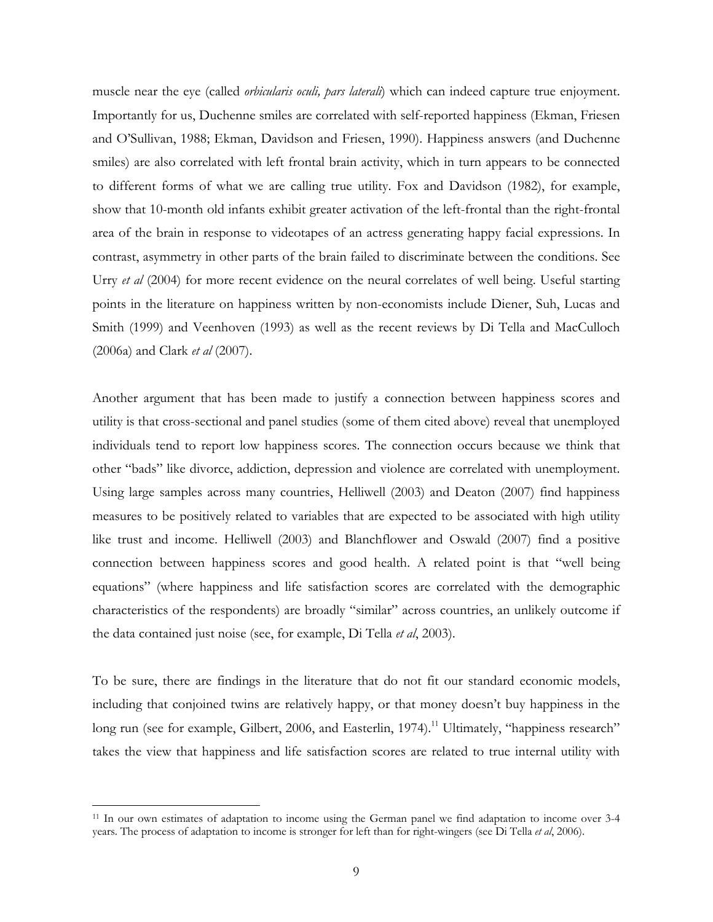muscle near the eye (called *orbicularis oculi, pars laterali*) which can indeed capture true enjoyment. Importantly for us, Duchenne smiles are correlated with self-reported happiness (Ekman, Friesen and O'Sullivan, 1988; Ekman, Davidson and Friesen, 1990). Happiness answers (and Duchenne smiles) are also correlated with left frontal brain activity, which in turn appears to be connected to different forms of what we are calling true utility. Fox and Davidson (1982), for example, show that 10-month old infants exhibit greater activation of the left-frontal than the right-frontal area of the brain in response to videotapes of an actress generating happy facial expressions. In contrast, asymmetry in other parts of the brain failed to discriminate between the conditions. See Urry *et al* (2004) for more recent evidence on the neural correlates of well being. Useful starting points in the literature on happiness written by non-economists include Diener, Suh, Lucas and Smith (1999) and Veenhoven (1993) as well as the recent reviews by Di Tella and MacCulloch (2006a) and Clark *et al* (2007).

Another argument that has been made to justify a connection between happiness scores and utility is that cross-sectional and panel studies (some of them cited above) reveal that unemployed individuals tend to report low happiness scores. The connection occurs because we think that other "bads" like divorce, addiction, depression and violence are correlated with unemployment. Using large samples across many countries, Helliwell (2003) and Deaton (2007) find happiness measures to be positively related to variables that are expected to be associated with high utility like trust and income. Helliwell (2003) and Blanchflower and Oswald (2007) find a positive connection between happiness scores and good health. A related point is that "well being equations" (where happiness and life satisfaction scores are correlated with the demographic characteristics of the respondents) are broadly "similar" across countries, an unlikely outcome if the data contained just noise (see, for example, Di Tella *et al*, 2003).

To be sure, there are findings in the literature that do not fit our standard economic models, including that conjoined twins are relatively happy, or that money doesn't buy happiness in the long run (see for example, Gilbert, 2006, and Easterlin, 1974).<sup>11</sup> Ultimately, "happiness research" takes the view that happiness and life satisfaction scores are related to true internal utility with

<sup>11</sup> In our own estimates of adaptation to income using the German panel we find adaptation to income over 3-4 years. The process of adaptation to income is stronger for left than for right-wingers (see Di Tella *et al*, 2006).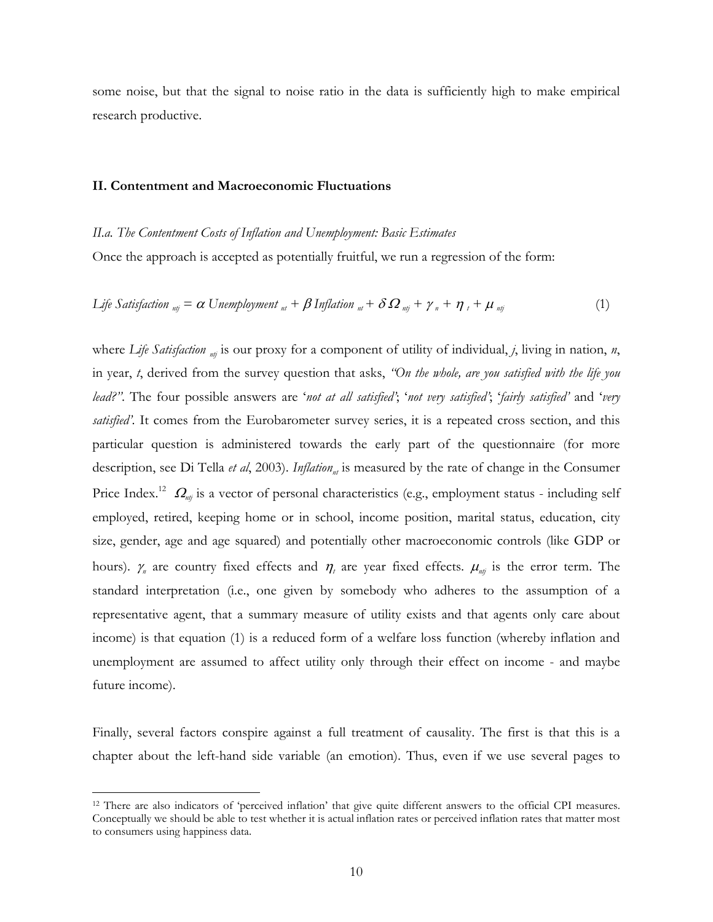some noise, but that the signal to noise ratio in the data is sufficiently high to make empirical research productive.

## **II. Contentment and Macroeconomic Fluctuations**

### *II.a. The Contentment Costs of Inflation and Unemployment: Basic Estimates*

Once the approach is accepted as potentially fruitful, we run a regression of the form:

$$
Life\ Satisfaction_{mj} = \alpha \ Unemployment_{nl} + \beta \ Inflation_{nl} + \delta \Omega_{nj} + \gamma_n + \eta_t + \mu_{nj}
$$
\n(1)

where Life Satisfaction  $n_{\text{nt}}$  is our proxy for a component of utility of individual, *j*, living in nation, *n*, in year, *t*, derived from the survey question that asks, *"On the whole, are you satisfied with the life you lead?"*. The four possible answers are '*not at all satisfied'*; '*not very satisfied'*; '*fairly satisfied'* and '*very satisfied'*. It comes from the Eurobarometer survey series, it is a repeated cross section, and this particular question is administered towards the early part of the questionnaire (for more description, see Di Tella *et al*, 2003). *Inflation*<sub>nt</sub> is measured by the rate of change in the Consumer Price Index.<sup>12</sup>  $\Omega_{n}$  is a vector of personal characteristics (e.g., employment status - including self employed, retired, keeping home or in school, income position, marital status, education, city size, gender, age and age squared) and potentially other macroeconomic controls (like GDP or hours).  $\gamma_n$  are country fixed effects and  $\eta_t$  are year fixed effects.  $\mu_{n,j}$  is the error term. The standard interpretation (i.e., one given by somebody who adheres to the assumption of a representative agent, that a summary measure of utility exists and that agents only care about income) is that equation (1) is a reduced form of a welfare loss function (whereby inflation and unemployment are assumed to affect utility only through their effect on income - and maybe future income).

Finally, several factors conspire against a full treatment of causality. The first is that this is a chapter about the left-hand side variable (an emotion). Thus, even if we use several pages to

<sup>12</sup> There are also indicators of 'perceived inflation' that give quite different answers to the official CPI measures. Conceptually we should be able to test whether it is actual inflation rates or perceived inflation rates that matter most to consumers using happiness data.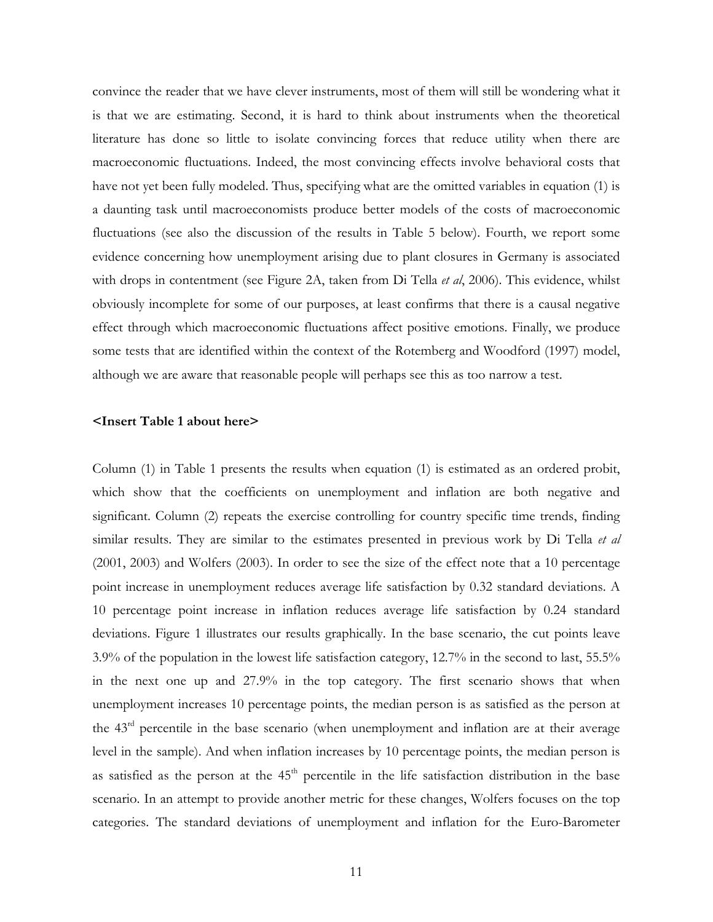convince the reader that we have clever instruments, most of them will still be wondering what it is that we are estimating. Second, it is hard to think about instruments when the theoretical literature has done so little to isolate convincing forces that reduce utility when there are macroeconomic fluctuations. Indeed, the most convincing effects involve behavioral costs that have not yet been fully modeled. Thus, specifying what are the omitted variables in equation (1) is a daunting task until macroeconomists produce better models of the costs of macroeconomic fluctuations (see also the discussion of the results in Table 5 below). Fourth, we report some evidence concerning how unemployment arising due to plant closures in Germany is associated with drops in contentment (see Figure 2A, taken from Di Tella *et al*, 2006). This evidence, whilst obviously incomplete for some of our purposes, at least confirms that there is a causal negative effect through which macroeconomic fluctuations affect positive emotions. Finally, we produce some tests that are identified within the context of the Rotemberg and Woodford (1997) model, although we are aware that reasonable people will perhaps see this as too narrow a test.

## **<Insert Table 1 about here>**

Column (1) in Table 1 presents the results when equation (1) is estimated as an ordered probit, which show that the coefficients on unemployment and inflation are both negative and significant. Column (2) repeats the exercise controlling for country specific time trends, finding similar results. They are similar to the estimates presented in previous work by Di Tella *et al* (2001, 2003) and Wolfers (2003). In order to see the size of the effect note that a 10 percentage point increase in unemployment reduces average life satisfaction by 0.32 standard deviations. A 10 percentage point increase in inflation reduces average life satisfaction by 0.24 standard deviations. Figure 1 illustrates our results graphically. In the base scenario, the cut points leave 3.9% of the population in the lowest life satisfaction category, 12.7% in the second to last, 55.5% in the next one up and 27.9% in the top category. The first scenario shows that when unemployment increases 10 percentage points, the median person is as satisfied as the person at the 43rd percentile in the base scenario (when unemployment and inflation are at their average level in the sample). And when inflation increases by 10 percentage points, the median person is as satisfied as the person at the  $45<sup>th</sup>$  percentile in the life satisfaction distribution in the base scenario. In an attempt to provide another metric for these changes, Wolfers focuses on the top categories. The standard deviations of unemployment and inflation for the Euro-Barometer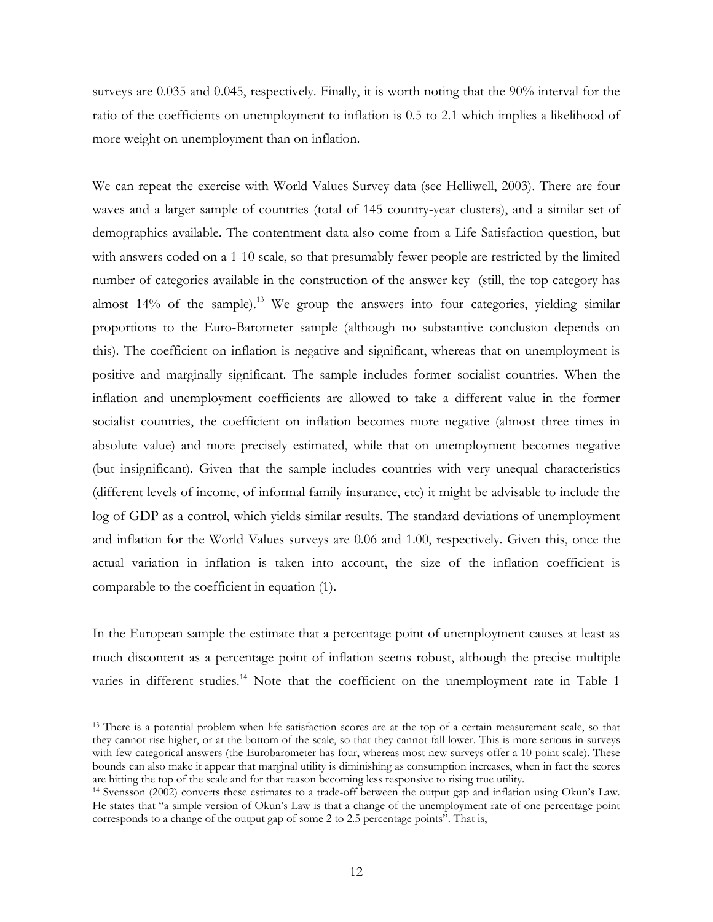surveys are 0.035 and 0.045, respectively. Finally, it is worth noting that the 90% interval for the ratio of the coefficients on unemployment to inflation is 0.5 to 2.1 which implies a likelihood of more weight on unemployment than on inflation.

We can repeat the exercise with World Values Survey data (see Helliwell, 2003). There are four waves and a larger sample of countries (total of 145 country-year clusters), and a similar set of demographics available. The contentment data also come from a Life Satisfaction question, but with answers coded on a 1-10 scale, so that presumably fewer people are restricted by the limited number of categories available in the construction of the answer key (still, the top category has almost  $14\%$  of the sample).<sup>13</sup> We group the answers into four categories, yielding similar proportions to the Euro-Barometer sample (although no substantive conclusion depends on this). The coefficient on inflation is negative and significant, whereas that on unemployment is positive and marginally significant. The sample includes former socialist countries. When the inflation and unemployment coefficients are allowed to take a different value in the former socialist countries, the coefficient on inflation becomes more negative (almost three times in absolute value) and more precisely estimated, while that on unemployment becomes negative (but insignificant). Given that the sample includes countries with very unequal characteristics (different levels of income, of informal family insurance, etc) it might be advisable to include the log of GDP as a control, which yields similar results. The standard deviations of unemployment and inflation for the World Values surveys are 0.06 and 1.00, respectively. Given this, once the actual variation in inflation is taken into account, the size of the inflation coefficient is comparable to the coefficient in equation (1).

In the European sample the estimate that a percentage point of unemployment causes at least as much discontent as a percentage point of inflation seems robust, although the precise multiple varies in different studies.<sup>14</sup> Note that the coefficient on the unemployment rate in Table 1

<sup>&</sup>lt;sup>13</sup> There is a potential problem when life satisfaction scores are at the top of a certain measurement scale, so that they cannot rise higher, or at the bottom of the scale, so that they cannot fall lower. This is more serious in surveys with few categorical answers (the Eurobarometer has four, whereas most new surveys offer a 10 point scale). These bounds can also make it appear that marginal utility is diminishing as consumption increases, when in fact the scores are hitting the top of the scale and for that reason becoming less responsive to rising true utility.

<sup>14</sup> Svensson (2002) converts these estimates to a trade-off between the output gap and inflation using Okun's Law. He states that "a simple version of Okun's Law is that a change of the unemployment rate of one percentage point corresponds to a change of the output gap of some 2 to 2.5 percentage points". That is,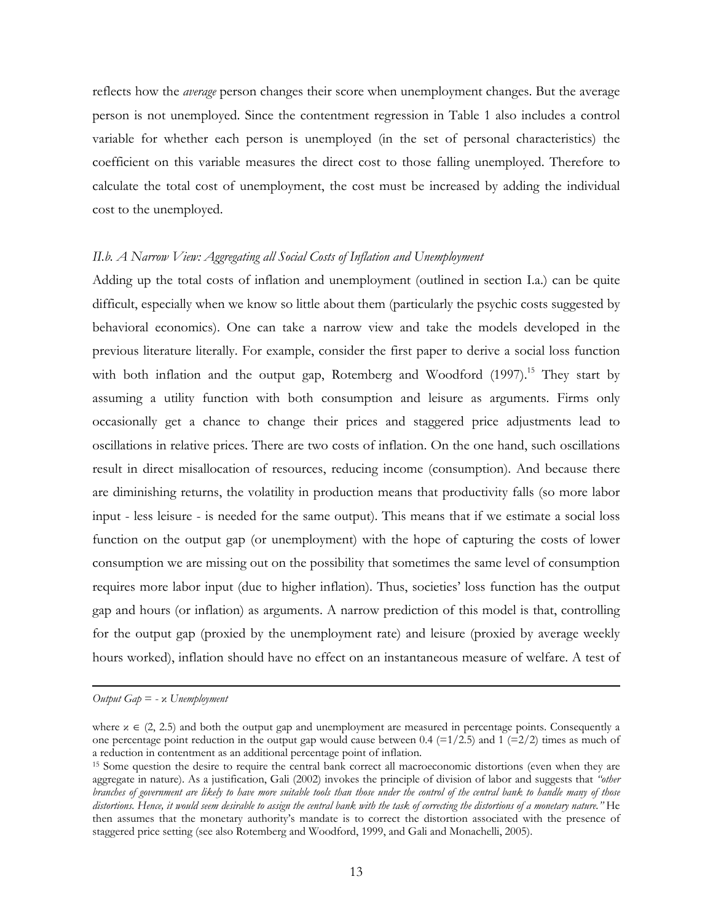reflects how the *average* person changes their score when unemployment changes. But the average person is not unemployed. Since the contentment regression in Table 1 also includes a control variable for whether each person is unemployed (in the set of personal characteristics) the coefficient on this variable measures the direct cost to those falling unemployed. Therefore to calculate the total cost of unemployment, the cost must be increased by adding the individual cost to the unemployed.

# II.b. A Narrow View: Aggregating all Social Costs of Inflation and Unemployment

Adding up the total costs of inflation and unemployment (outlined in section I.a.) can be quite difficult, especially when we know so little about them (particularly the psychic costs suggested by behavioral economics). One can take a narrow view and take the models developed in the previous literature literally. For example, consider the first paper to derive a social loss function with both inflation and the output gap, Rotemberg and Woodford  $(1997)$ .<sup>15</sup> They start by assuming a utility function with both consumption and leisure as arguments. Firms only occasionally get a chance to change their prices and staggered price adjustments lead to oscillations in relative prices. There are two costs of inflation. On the one hand, such oscillations result in direct misallocation of resources, reducing income (consumption). And because there are diminishing returns, the volatility in production means that productivity falls (so more labor input - less leisure - is needed for the same output). This means that if we estimate a social loss function on the output gap (or unemployment) with the hope of capturing the costs of lower consumption we are missing out on the possibility that sometimes the same level of consumption requires more labor input (due to higher inflation). Thus, societies' loss function has the output gap and hours (or inflation) as arguments. A narrow prediction of this model is that, controlling for the output gap (proxied by the unemployment rate) and leisure (proxied by average weekly hours worked), inflation should have no effect on an instantaneous measure of welfare. A test of

*Output Gap* = - κ *Unemployment*

where  $x \in (2, 2.5)$  and both the output gap and unemployment are measured in percentage points. Consequently a one percentage point reduction in the output gap would cause between 0.4 (=1/2.5) and 1 (=2/2) times as much of a reduction in contentment as an additional percentage point of inflation.

<sup>&</sup>lt;sup>15</sup> Some question the desire to require the central bank correct all macroeconomic distortions (even when they are aggregate in nature). As a justification, Gali (2002) invokes the principle of division of labor and suggests that *"other branches of government are likely to have more suitable tools than those under the control of the central bank to handle many of those distortions. Hence, it would seem desirable to assign the central bank with the task of correcting the distortions of a monetary nature."* He then assumes that the monetary authority's mandate is to correct the distortion associated with the presence of staggered price setting (see also Rotemberg and Woodford, 1999, and Gali and Monachelli, 2005).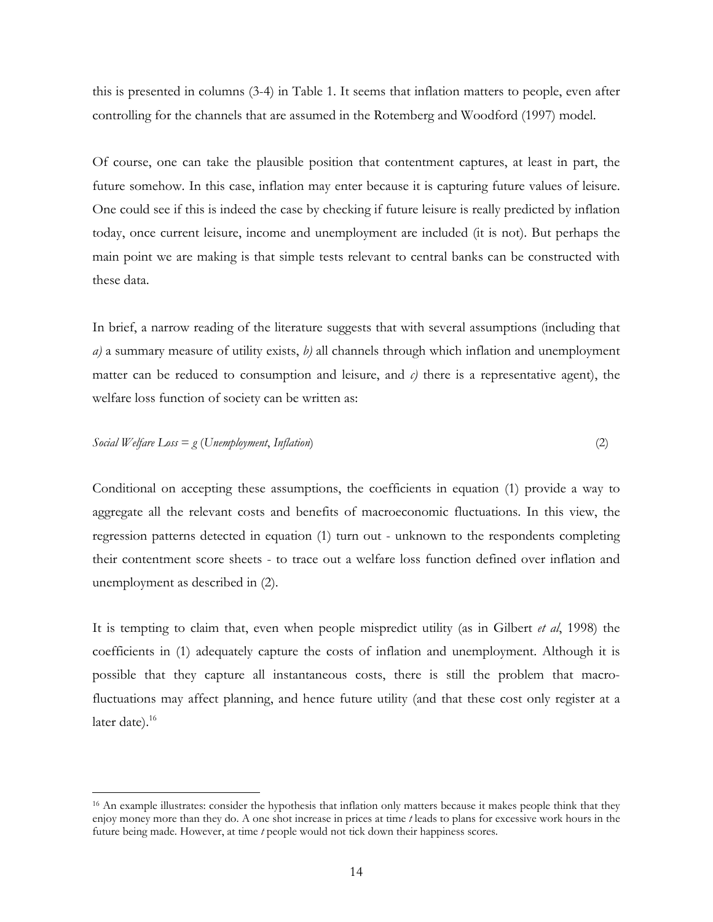this is presented in columns (3-4) in Table 1. It seems that inflation matters to people, even after controlling for the channels that are assumed in the Rotemberg and Woodford (1997) model.

Of course, one can take the plausible position that contentment captures, at least in part, the future somehow. In this case, inflation may enter because it is capturing future values of leisure. One could see if this is indeed the case by checking if future leisure is really predicted by inflation today, once current leisure, income and unemployment are included (it is not). But perhaps the main point we are making is that simple tests relevant to central banks can be constructed with these data.

In brief, a narrow reading of the literature suggests that with several assumptions (including that *a)* a summary measure of utility exists, *b)* all channels through which inflation and unemployment matter can be reduced to consumption and leisure, and  $\epsilon$ ) there is a representative agent), the welfare loss function of society can be written as:

*Social Welfare Loss* = 
$$
g
$$
 (*Unemblogment, Inflation*) 
$$
\tag{2}
$$

Conditional on accepting these assumptions, the coefficients in equation (1) provide a way to aggregate all the relevant costs and benefits of macroeconomic fluctuations. In this view, the regression patterns detected in equation (1) turn out - unknown to the respondents completing their contentment score sheets - to trace out a welfare loss function defined over inflation and unemployment as described in (2).

It is tempting to claim that, even when people mispredict utility (as in Gilbert *et al*, 1998) the coefficients in (1) adequately capture the costs of inflation and unemployment. Although it is possible that they capture all instantaneous costs, there is still the problem that macrofluctuations may affect planning, and hence future utility (and that these cost only register at a later date). $16$ 

<sup>&</sup>lt;sup>16</sup> An example illustrates: consider the hypothesis that inflation only matters because it makes people think that they enjoy money more than they do. A one shot increase in prices at time *t* leads to plans for excessive work hours in the future being made. However, at time *t* people would not tick down their happiness scores.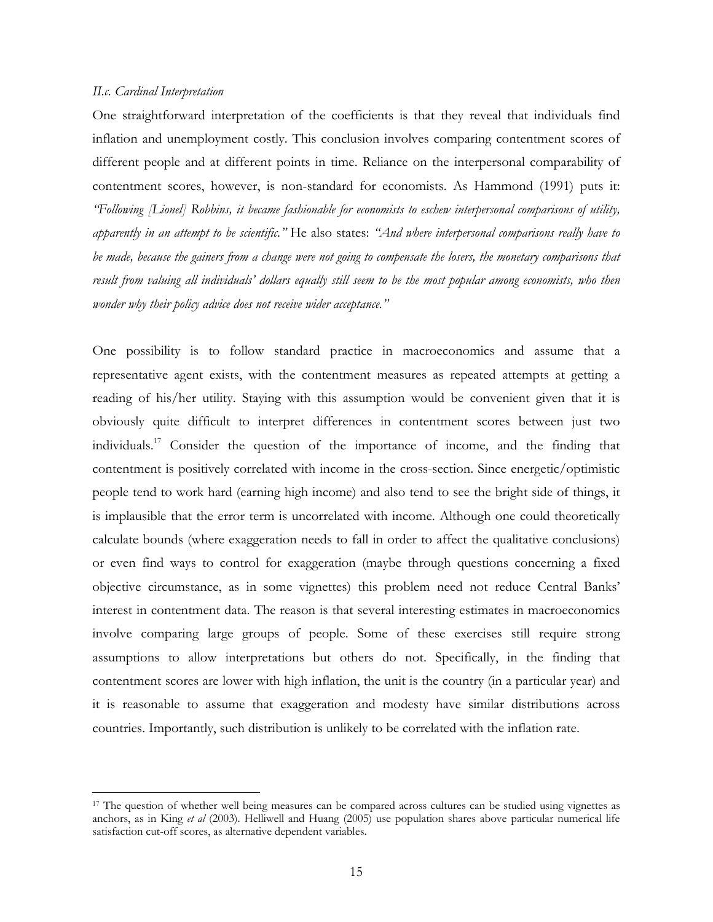## *II.c. Cardinal Interpretation*

 $\overline{a}$ 

One straightforward interpretation of the coefficients is that they reveal that individuals find inflation and unemployment costly. This conclusion involves comparing contentment scores of different people and at different points in time. Reliance on the interpersonal comparability of contentment scores, however, is non-standard for economists. As Hammond (1991) puts it: *"Following [Lionel] Robbins, it became fashionable for economists to eschew interpersonal comparisons of utility, apparently in an attempt to be scientific."* He also states: *"And where interpersonal comparisons really have to be made, because the gainers from a change were not going to compensate the losers, the monetary comparisons that result from valuing all individuals' dollars equally still seem to be the most popular among economists, who then wonder why their policy advice does not receive wider acceptance."*

One possibility is to follow standard practice in macroeconomics and assume that a representative agent exists, with the contentment measures as repeated attempts at getting a reading of his/her utility. Staying with this assumption would be convenient given that it is obviously quite difficult to interpret differences in contentment scores between just two individuals.17 Consider the question of the importance of income, and the finding that contentment is positively correlated with income in the cross-section. Since energetic/optimistic people tend to work hard (earning high income) and also tend to see the bright side of things, it is implausible that the error term is uncorrelated with income. Although one could theoretically calculate bounds (where exaggeration needs to fall in order to affect the qualitative conclusions) or even find ways to control for exaggeration (maybe through questions concerning a fixed objective circumstance, as in some vignettes) this problem need not reduce Central Banks' interest in contentment data. The reason is that several interesting estimates in macroeconomics involve comparing large groups of people. Some of these exercises still require strong assumptions to allow interpretations but others do not. Specifically, in the finding that contentment scores are lower with high inflation, the unit is the country (in a particular year) and it is reasonable to assume that exaggeration and modesty have similar distributions across countries. Importantly, such distribution is unlikely to be correlated with the inflation rate.

<sup>&</sup>lt;sup>17</sup> The question of whether well being measures can be compared across cultures can be studied using vignettes as anchors, as in King *et al* (2003). Helliwell and Huang (2005) use population shares above particular numerical life satisfaction cut-off scores, as alternative dependent variables.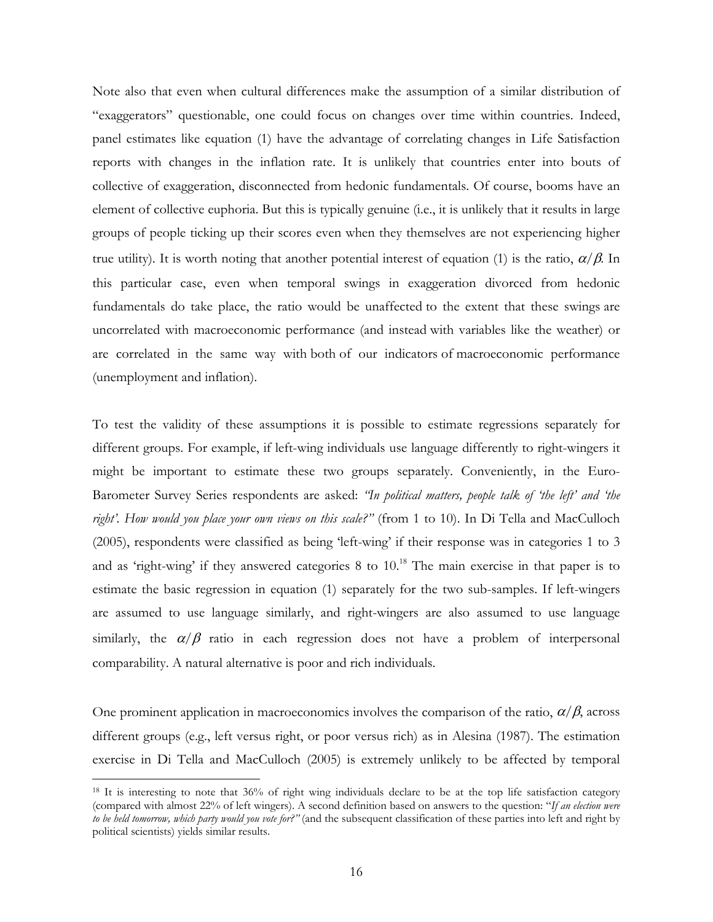Note also that even when cultural differences make the assumption of a similar distribution of "exaggerators" questionable, one could focus on changes over time within countries. Indeed, panel estimates like equation (1) have the advantage of correlating changes in Life Satisfaction reports with changes in the inflation rate. It is unlikely that countries enter into bouts of collective of exaggeration, disconnected from hedonic fundamentals. Of course, booms have an element of collective euphoria. But this is typically genuine (i.e., it is unlikely that it results in large groups of people ticking up their scores even when they themselves are not experiencing higher true utility). It is worth noting that another potential interest of equation (1) is the ratio,  $\alpha/\beta$ . In this particular case, even when temporal swings in exaggeration divorced from hedonic fundamentals do take place, the ratio would be unaffected to the extent that these swings are uncorrelated with macroeconomic performance (and instead with variables like the weather) or are correlated in the same way with both of our indicators of macroeconomic performance (unemployment and inflation).

To test the validity of these assumptions it is possible to estimate regressions separately for different groups. For example, if left-wing individuals use language differently to right-wingers it might be important to estimate these two groups separately. Conveniently, in the Euro-Barometer Survey Series respondents are asked: *"In political matters, people talk of 'the left' and 'the*  right'. How would you place your own views on this scale?" (from 1 to 10). In Di Tella and MacCulloch (2005), respondents were classified as being 'left-wing' if their response was in categories 1 to 3 and as 'right-wing' if they answered categories  $8$  to  $10<sup>18</sup>$  The main exercise in that paper is to estimate the basic regression in equation (1) separately for the two sub-samples. If left-wingers are assumed to use language similarly, and right-wingers are also assumed to use language similarly, the  $\alpha/\beta$  ratio in each regression does not have a problem of interpersonal comparability. A natural alternative is poor and rich individuals.

One prominent application in macroeconomics involves the comparison of the ratio,  $\alpha/\beta$ , across different groups (e.g., left versus right, or poor versus rich) as in Alesina (1987). The estimation exercise in Di Tella and MacCulloch (2005) is extremely unlikely to be affected by temporal

<sup>&</sup>lt;sup>18</sup> It is interesting to note that 36% of right wing individuals declare to be at the top life satisfaction category (compared with almost 22% of left wingers). A second definition based on answers to the question: "*If an election were to be held tomorrow, which party would you vote for?"* (and the subsequent classification of these parties into left and right by political scientists) yields similar results.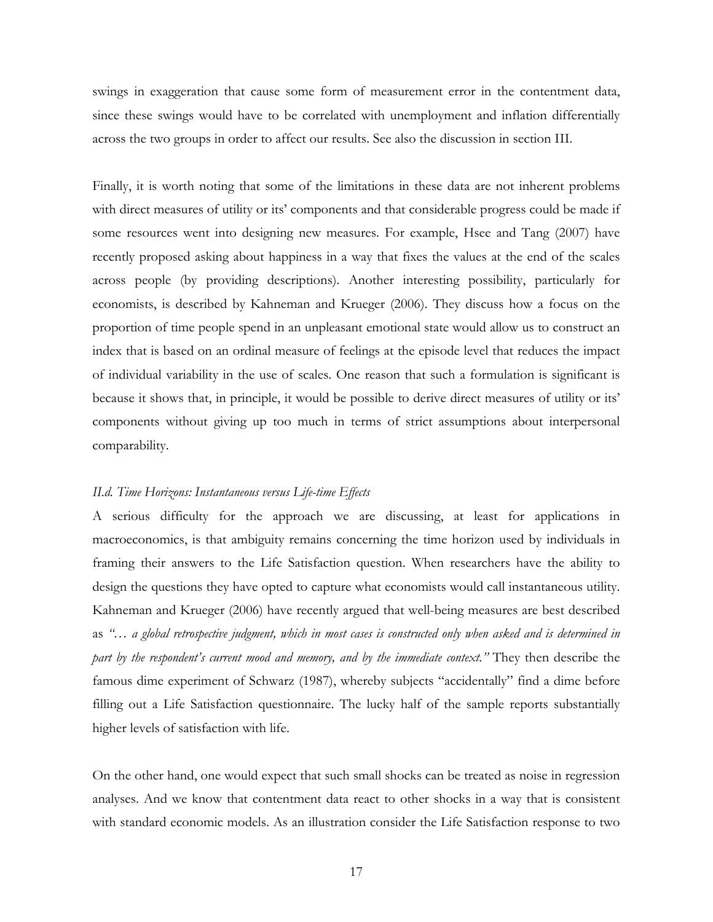swings in exaggeration that cause some form of measurement error in the contentment data, since these swings would have to be correlated with unemployment and inflation differentially across the two groups in order to affect our results. See also the discussion in section III.

Finally, it is worth noting that some of the limitations in these data are not inherent problems with direct measures of utility or its' components and that considerable progress could be made if some resources went into designing new measures. For example, Hsee and Tang (2007) have recently proposed asking about happiness in a way that fixes the values at the end of the scales across people (by providing descriptions). Another interesting possibility, particularly for economists, is described by Kahneman and Krueger (2006). They discuss how a focus on the proportion of time people spend in an unpleasant emotional state would allow us to construct an index that is based on an ordinal measure of feelings at the episode level that reduces the impact of individual variability in the use of scales. One reason that such a formulation is significant is because it shows that, in principle, it would be possible to derive direct measures of utility or its' components without giving up too much in terms of strict assumptions about interpersonal comparability.

### *II.d. Time Horizons: Instantaneous versus Life-time Effects*

A serious difficulty for the approach we are discussing, at least for applications in macroeconomics, is that ambiguity remains concerning the time horizon used by individuals in framing their answers to the Life Satisfaction question. When researchers have the ability to design the questions they have opted to capture what economists would call instantaneous utility. Kahneman and Krueger (2006) have recently argued that well-being measures are best described as *"… a global retrospective judgment, which in most cases is constructed only when asked and is determined in part by the respondent's current mood and memory, and by the immediate context."* They then describe the famous dime experiment of Schwarz (1987), whereby subjects "accidentally" find a dime before filling out a Life Satisfaction questionnaire. The lucky half of the sample reports substantially higher levels of satisfaction with life.

On the other hand, one would expect that such small shocks can be treated as noise in regression analyses. And we know that contentment data react to other shocks in a way that is consistent with standard economic models. As an illustration consider the Life Satisfaction response to two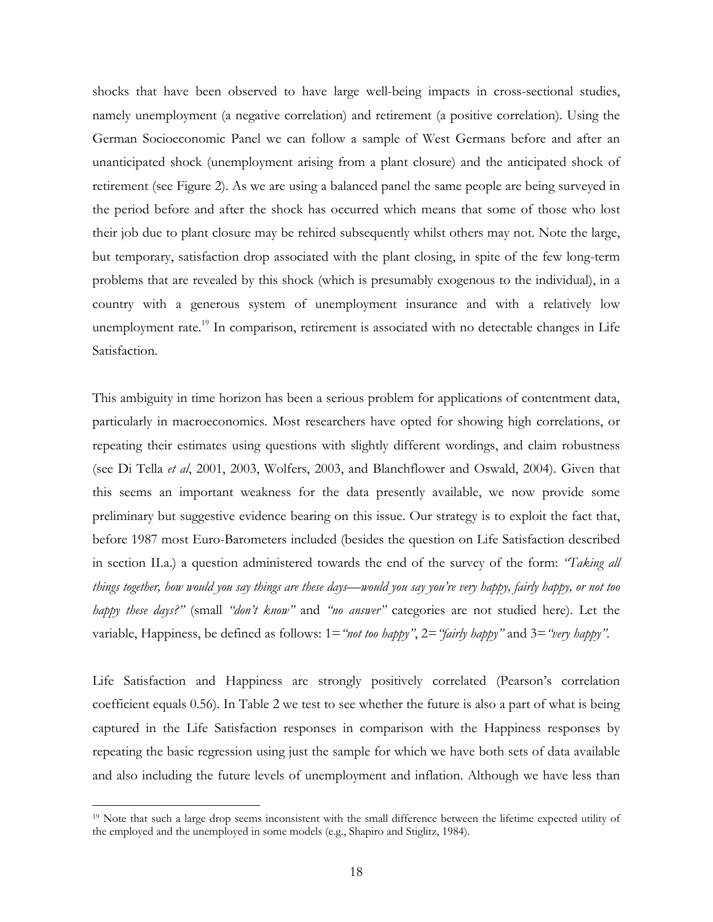shocks that have been observed to have large well-being impacts in cross-sectional studies, namely unemployment (a negative correlation) and retirement (a positive correlation). Using the German Socioeconomic Panel we can follow a sample of West Germans before and after an unanticipated shock (unemployment arising from a plant closure) and the anticipated shock of retirement (see Figure 2). As we are using a balanced panel the same people are being surveyed in the period before and after the shock has occurred which means that some of those who lost their job due to plant closure may be rehired subsequently whilst others may not. Note the large, but temporary, satisfaction drop associated with the plant closing, in spite of the few long-term problems that are revealed by this shock (which is presumably exogenous to the individual), in a country with a generous system of unemployment insurance and with a relatively low unemployment rate.<sup>19</sup> In comparison, retirement is associated with no detectable changes in Life Satisfaction.

This ambiguity in time horizon has been a serious problem for applications of contentment data, particularly in macroeconomics. Most researchers have opted for showing high correlations, or repeating their estimates using questions with slightly different wordings, and claim robustness (see Di Tella *et al*, 2001, 2003, Wolfers, 2003, and Blanchflower and Oswald, 2004). Given that this seems an important weakness for the data presently available, we now provide some preliminary but suggestive evidence bearing on this issue. Our strategy is to exploit the fact that, before 1987 most Euro-Barometers included (besides the question on Life Satisfaction described in section II.a.) a question administered towards the end of the survey of the form: *"Taking all things together, how would you say things are these days—would you say you're very happy, fairly happy, or not too happy these days?"* (small *"don't know"* and *"no answer"* categories are not studied here). Let the variable, Happiness, be defined as follows: 1=*"not too happy"*, 2=*"fairly happy"* and 3=*"very happy"*.

Life Satisfaction and Happiness are strongly positively correlated (Pearson's correlation coefficient equals 0.56). In Table 2 we test to see whether the future is also a part of what is being captured in the Life Satisfaction responses in comparison with the Happiness responses by repeating the basic regression using just the sample for which we have both sets of data available and also including the future levels of unemployment and inflation. Although we have less than

<sup>&</sup>lt;sup>19</sup> Note that such a large drop seems inconsistent with the small difference between the lifetime expected utility of the employed and the unemployed in some models (e.g., Shapiro and Stiglitz, 1984).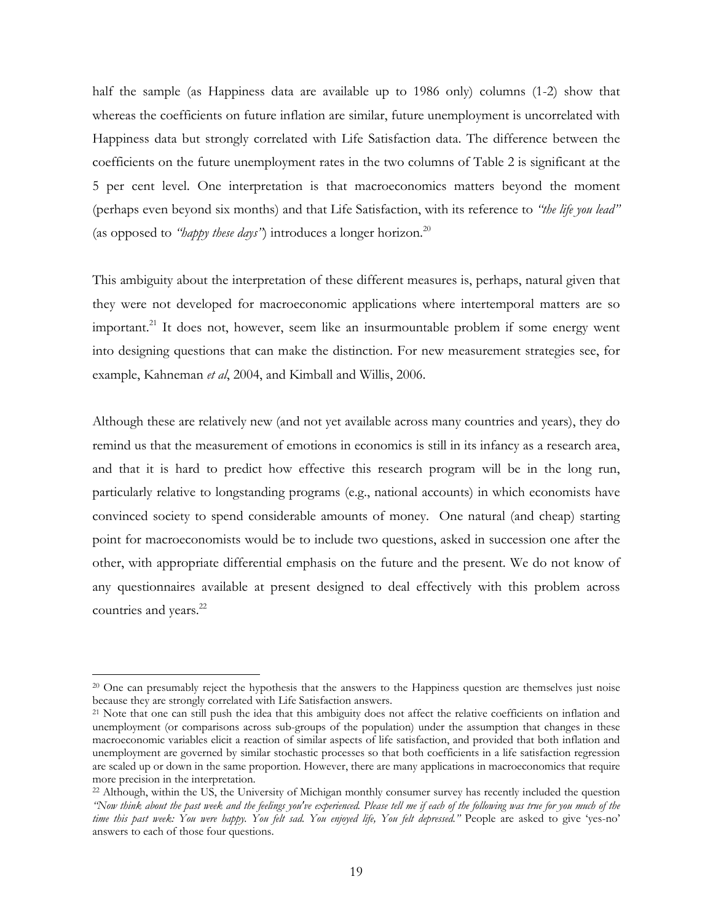half the sample (as Happiness data are available up to 1986 only) columns (1-2) show that whereas the coefficients on future inflation are similar, future unemployment is uncorrelated with Happiness data but strongly correlated with Life Satisfaction data. The difference between the coefficients on the future unemployment rates in the two columns of Table 2 is significant at the 5 per cent level. One interpretation is that macroeconomics matters beyond the moment (perhaps even beyond six months) and that Life Satisfaction, with its reference to *"the life you lead"* (as opposed to *"happy these days"*) introduces a longer horizon.<sup>20</sup>

This ambiguity about the interpretation of these different measures is, perhaps, natural given that they were not developed for macroeconomic applications where intertemporal matters are so important.<sup>21</sup> It does not, however, seem like an insurmountable problem if some energy went into designing questions that can make the distinction. For new measurement strategies see, for example, Kahneman *et al*, 2004, and Kimball and Willis, 2006.

Although these are relatively new (and not yet available across many countries and years), they do remind us that the measurement of emotions in economics is still in its infancy as a research area, and that it is hard to predict how effective this research program will be in the long run, particularly relative to longstanding programs (e.g., national accounts) in which economists have convinced society to spend considerable amounts of money. One natural (and cheap) starting point for macroeconomists would be to include two questions, asked in succession one after the other, with appropriate differential emphasis on the future and the present. We do not know of any questionnaires available at present designed to deal effectively with this problem across countries and years.<sup>22</sup>

<sup>&</sup>lt;sup>20</sup> One can presumably reject the hypothesis that the answers to the Happiness question are themselves just noise because they are strongly correlated with Life Satisfaction answers.

<sup>&</sup>lt;sup>21</sup> Note that one can still push the idea that this ambiguity does not affect the relative coefficients on inflation and unemployment (or comparisons across sub-groups of the population) under the assumption that changes in these macroeconomic variables elicit a reaction of similar aspects of life satisfaction, and provided that both inflation and unemployment are governed by similar stochastic processes so that both coefficients in a life satisfaction regression are scaled up or down in the same proportion. However, there are many applications in macroeconomics that require more precision in the interpretation.

<sup>&</sup>lt;sup>22</sup> Although, within the US, the University of Michigan monthly consumer survey has recently included the question *"Now think about the past week and the feelings you've experienced. Please tell me if each of the following was true for you much of the time this past week: You were happy. You felt sad. You enjoyed life, You felt depressed."* People are asked to give 'yes-no' answers to each of those four questions.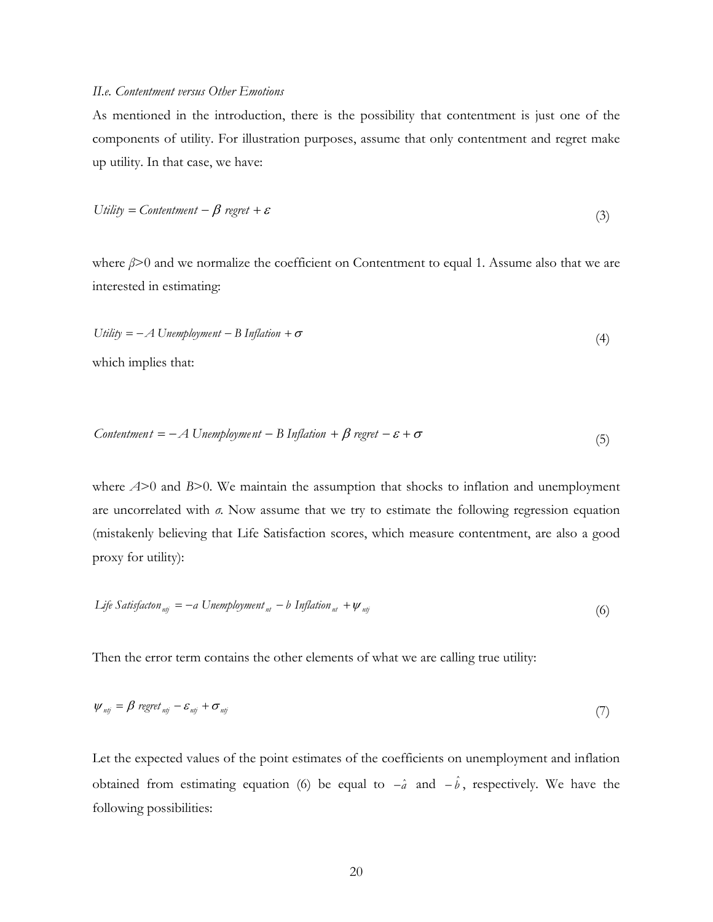### *II.e. Contentment versus Other Emotions*

As mentioned in the introduction, there is the possibility that contentment is just one of the components of utility. For illustration purposes, assume that only contentment and regret make up utility. In that case, we have:

$$
Utility = Contentment - \beta \ regret + \varepsilon
$$
\n(3)

where *β*>0 and we normalize the coefficient on Contentment to equal 1. Assume also that we are interested in estimating:

$$
Utility = -A \text{ U} \text{n} \text{em} \text{p} \text{l} \text{y} \text{m} \text{e} \text{nt} - B \text{ Inflation} + \sigma \tag{4}
$$

which implies that:

$$
Contentment = -A Unemployment - B Inflation + \beta regret - \varepsilon + \sigma
$$
\n(5)

where  $A>0$  and  $B>0$ . We maintain the assumption that shocks to inflation and unemployment are uncorrelated with *σ*. Now assume that we try to estimate the following regression equation (mistakenly believing that Life Satisfaction scores, which measure contentment, are also a good proxy for utility):

$$
Life\ Satisfactor_{mj} = -a\ Unemptyment_{nt} - b\ Inflation_{nt} + \psi_{mj}
$$
\n(6)

Then the error term contains the other elements of what we are calling true utility:

$$
\psi_{nij} = \beta \, \text{regret}_{nij} - \varepsilon_{nij} + \sigma_{nij} \tag{7}
$$

Let the expected values of the point estimates of the coefficients on unemployment and inflation obtained from estimating equation (6) be equal to  $-\hat{a}$  and  $-\hat{b}$ , respectively. We have the following possibilities: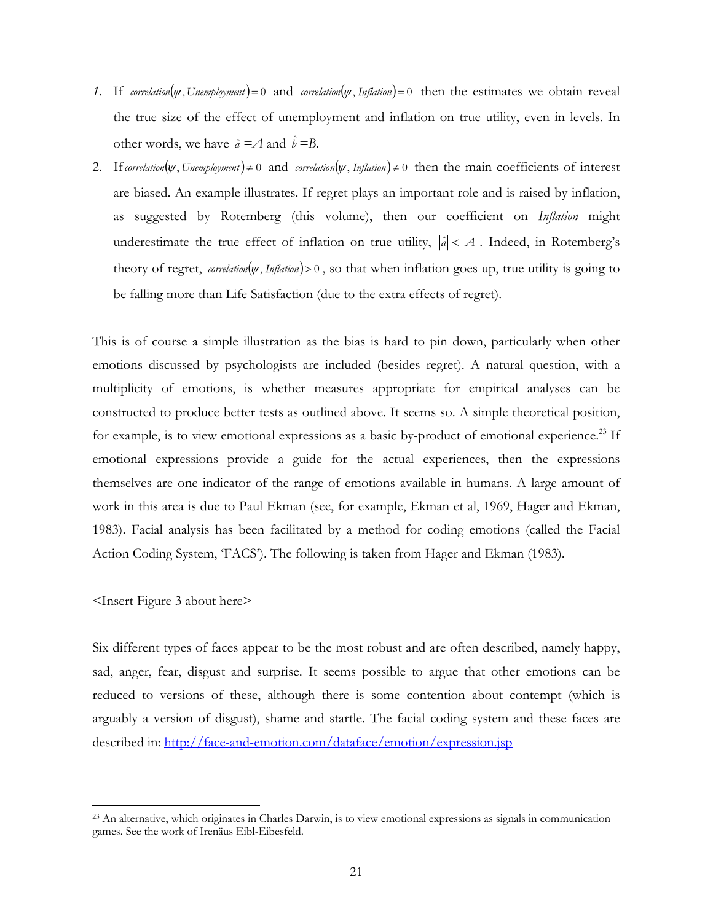- *1.* If *correlation*( $\psi$ , *Unemployment*)=0 and *correlation*( $\psi$ , *Inflation*)=0 then the estimates we obtain reveal the true size of the effect of unemployment and inflation on true utility, even in levels. In other words, we have  $\hat{a} = A$  and  $\hat{b} = B$ .
- 2. If *correlation*( $\psi$ , *Unemployment*)  $\neq 0$  and *correlation*( $\psi$ , *Inflation*)  $\neq 0$  then the main coefficients of interest are biased. An example illustrates. If regret plays an important role and is raised by inflation, as suggested by Rotemberg (this volume), then our coefficient on *Inflation* might underestimate the true effect of inflation on true utility,  $|\hat{a}| < |A|$ . Indeed, in Rotemberg's theory of regret, *correlation*( $\psi$ , *Inflation*) > 0, so that when inflation goes up, true utility is going to be falling more than Life Satisfaction (due to the extra effects of regret).

This is of course a simple illustration as the bias is hard to pin down, particularly when other emotions discussed by psychologists are included (besides regret). A natural question, with a multiplicity of emotions, is whether measures appropriate for empirical analyses can be constructed to produce better tests as outlined above. It seems so. A simple theoretical position, for example, is to view emotional expressions as a basic by-product of emotional experience.<sup>23</sup> If emotional expressions provide a guide for the actual experiences, then the expressions themselves are one indicator of the range of emotions available in humans. A large amount of work in this area is due to Paul Ekman (see, for example, Ekman et al, 1969, Hager and Ekman, 1983). Facial analysis has been facilitated by a method for coding emotions (called the Facial Action Coding System, 'FACS'). The following is taken from Hager and Ekman (1983).

<Insert Figure 3 about here>

 $\overline{a}$ 

Six different types of faces appear to be the most robust and are often described, namely happy, sad, anger, fear, disgust and surprise. It seems possible to argue that other emotions can be reduced to versions of these, although there is some contention about contempt (which is arguably a version of disgust), shame and startle. The facial coding system and these faces are described in: http://face-and-emotion.com/dataface/emotion/expression.jsp

<sup>23</sup> An alternative, which originates in Charles Darwin, is to view emotional expressions as signals in communication games. See the work of Irenäus Eibl-Eibesfeld.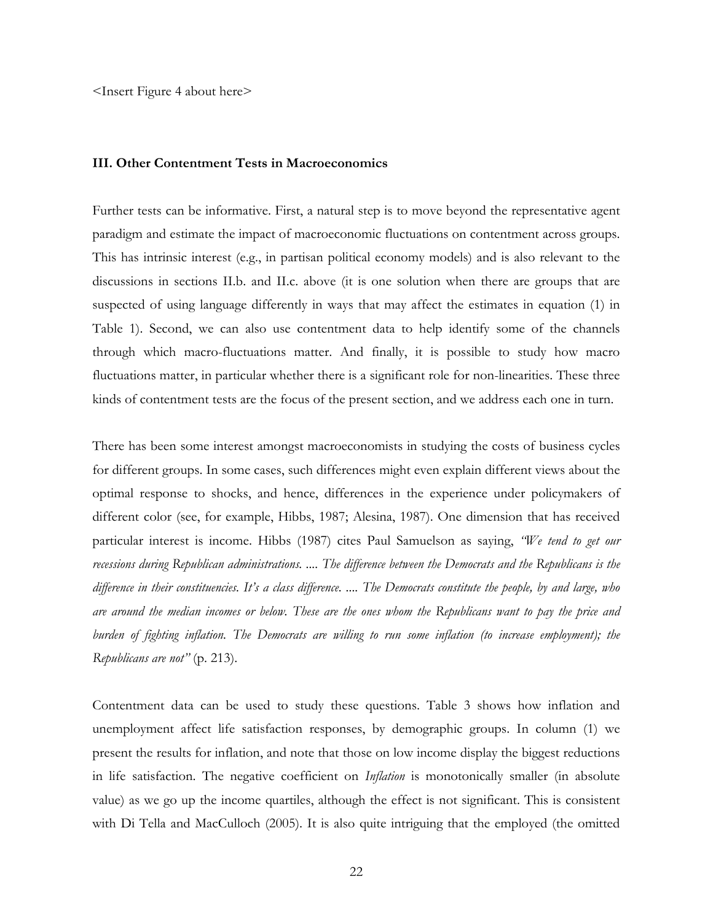<Insert Figure 4 about here>

### **III. Other Contentment Tests in Macroeconomics**

Further tests can be informative. First, a natural step is to move beyond the representative agent paradigm and estimate the impact of macroeconomic fluctuations on contentment across groups. This has intrinsic interest (e.g., in partisan political economy models) and is also relevant to the discussions in sections II.b. and II.c. above (it is one solution when there are groups that are suspected of using language differently in ways that may affect the estimates in equation (1) in Table 1). Second, we can also use contentment data to help identify some of the channels through which macro-fluctuations matter. And finally, it is possible to study how macro fluctuations matter, in particular whether there is a significant role for non-linearities. These three kinds of contentment tests are the focus of the present section, and we address each one in turn.

There has been some interest amongst macroeconomists in studying the costs of business cycles for different groups. In some cases, such differences might even explain different views about the optimal response to shocks, and hence, differences in the experience under policymakers of different color (see, for example, Hibbs, 1987; Alesina, 1987). One dimension that has received particular interest is income. Hibbs (1987) cites Paul Samuelson as saying, *"We tend to get our recessions during Republican administrations. .... The difference between the Democrats and the Republicans is the difference in their constituencies. It's a class difference. .... The Democrats constitute the people, by and large, who are around the median incomes or below. These are the ones whom the Republicans want to pay the price and burden of fighting inflation. The Democrats are willing to run some inflation (to increase employment); the Republicans are not"* (p. 213).

Contentment data can be used to study these questions. Table 3 shows how inflation and unemployment affect life satisfaction responses, by demographic groups. In column (1) we present the results for inflation, and note that those on low income display the biggest reductions in life satisfaction. The negative coefficient on *Inflation* is monotonically smaller (in absolute value) as we go up the income quartiles, although the effect is not significant. This is consistent with Di Tella and MacCulloch (2005). It is also quite intriguing that the employed (the omitted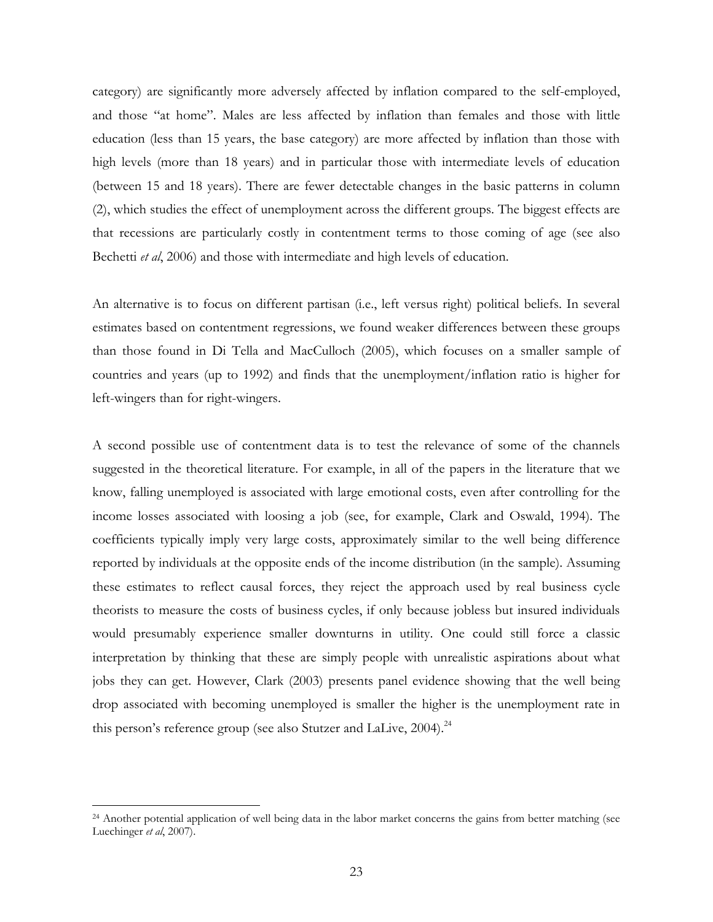category) are significantly more adversely affected by inflation compared to the self-employed, and those "at home". Males are less affected by inflation than females and those with little education (less than 15 years, the base category) are more affected by inflation than those with high levels (more than 18 years) and in particular those with intermediate levels of education (between 15 and 18 years). There are fewer detectable changes in the basic patterns in column (2), which studies the effect of unemployment across the different groups. The biggest effects are that recessions are particularly costly in contentment terms to those coming of age (see also Bechetti *et al*, 2006) and those with intermediate and high levels of education.

An alternative is to focus on different partisan (i.e., left versus right) political beliefs. In several estimates based on contentment regressions, we found weaker differences between these groups than those found in Di Tella and MacCulloch (2005), which focuses on a smaller sample of countries and years (up to 1992) and finds that the unemployment/inflation ratio is higher for left-wingers than for right-wingers.

A second possible use of contentment data is to test the relevance of some of the channels suggested in the theoretical literature. For example, in all of the papers in the literature that we know, falling unemployed is associated with large emotional costs, even after controlling for the income losses associated with loosing a job (see, for example, Clark and Oswald, 1994). The coefficients typically imply very large costs, approximately similar to the well being difference reported by individuals at the opposite ends of the income distribution (in the sample). Assuming these estimates to reflect causal forces, they reject the approach used by real business cycle theorists to measure the costs of business cycles, if only because jobless but insured individuals would presumably experience smaller downturns in utility. One could still force a classic interpretation by thinking that these are simply people with unrealistic aspirations about what jobs they can get. However, Clark (2003) presents panel evidence showing that the well being drop associated with becoming unemployed is smaller the higher is the unemployment rate in this person's reference group (see also Stutzer and LaLive, 2004).<sup>24</sup>

<sup>&</sup>lt;sup>24</sup> Another potential application of well being data in the labor market concerns the gains from better matching (see Luechinger *et al*, 2007).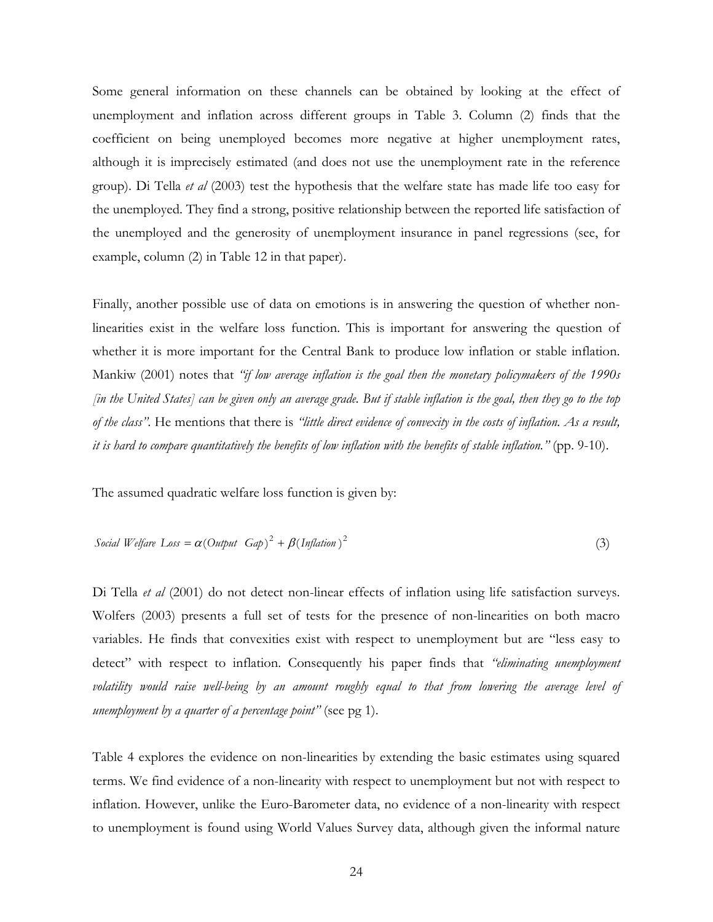Some general information on these channels can be obtained by looking at the effect of unemployment and inflation across different groups in Table 3. Column (2) finds that the coefficient on being unemployed becomes more negative at higher unemployment rates, although it is imprecisely estimated (and does not use the unemployment rate in the reference group). Di Tella *et al* (2003) test the hypothesis that the welfare state has made life too easy for the unemployed. They find a strong, positive relationship between the reported life satisfaction of the unemployed and the generosity of unemployment insurance in panel regressions (see, for example, column (2) in Table 12 in that paper).

Finally, another possible use of data on emotions is in answering the question of whether nonlinearities exist in the welfare loss function. This is important for answering the question of whether it is more important for the Central Bank to produce low inflation or stable inflation. Mankiw (2001) notes that *"if low average inflation is the goal then the monetary policymakers of the 1990s [in the United States] can be given only an average grade. But if stable inflation is the goal, then they go to the top of the class"*. He mentions that there is *"little direct evidence of convexity in the costs of inflation. As a result, it is hard to compare quantitatively the benefits of low inflation with the benefits of stable inflation."* (pp. 9-10).

The assumed quadratic welfare loss function is given by:

*Social Welfare Loss* = 
$$
\alpha
$$
(*Output Gap*)<sup>2</sup> +  $\beta$ (*Inflation*)<sup>2</sup> (3)

Di Tella *et al* (2001) do not detect non-linear effects of inflation using life satisfaction surveys. Wolfers (2003) presents a full set of tests for the presence of non-linearities on both macro variables. He finds that convexities exist with respect to unemployment but are "less easy to detect" with respect to inflation. Consequently his paper finds that *"eliminating unemployment volatility would raise well-being by an amount roughly equal to that from lowering the average level of unemployment by a quarter of a percentage point"* (see pg 1).

Table 4 explores the evidence on non-linearities by extending the basic estimates using squared terms. We find evidence of a non-linearity with respect to unemployment but not with respect to inflation. However, unlike the Euro-Barometer data, no evidence of a non-linearity with respect to unemployment is found using World Values Survey data, although given the informal nature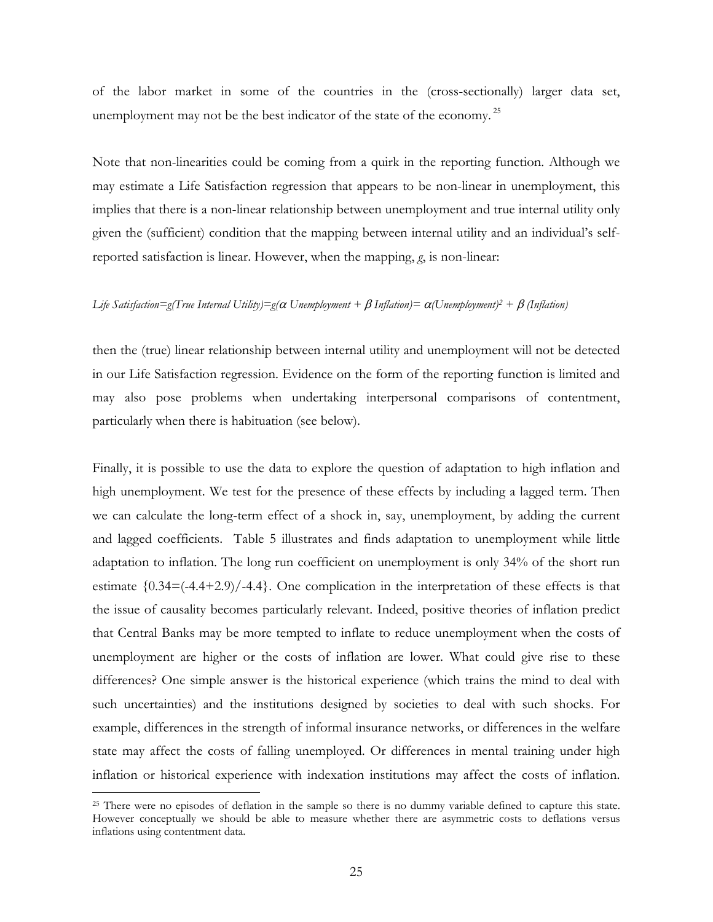of the labor market in some of the countries in the (cross-sectionally) larger data set, unemployment may not be the best indicator of the state of the economy.<sup>25</sup>

Note that non-linearities could be coming from a quirk in the reporting function. Although we may estimate a Life Satisfaction regression that appears to be non-linear in unemployment, this implies that there is a non-linear relationship between unemployment and true internal utility only given the (sufficient) condition that the mapping between internal utility and an individual's selfreported satisfaction is linear. However, when the mapping, *g*, is non-linear:

#### *Life Satisfaction=g(True Internal Utility)=g(*α *Unemployment +* β *Inflation)=* α*(Unemployment)2 +* β *(Inflation)*

then the (true) linear relationship between internal utility and unemployment will not be detected in our Life Satisfaction regression. Evidence on the form of the reporting function is limited and may also pose problems when undertaking interpersonal comparisons of contentment, particularly when there is habituation (see below).

Finally, it is possible to use the data to explore the question of adaptation to high inflation and high unemployment. We test for the presence of these effects by including a lagged term. Then we can calculate the long-term effect of a shock in, say, unemployment, by adding the current and lagged coefficients. Table 5 illustrates and finds adaptation to unemployment while little adaptation to inflation. The long run coefficient on unemployment is only 34% of the short run estimate  $\{0.34 = (-4.4 + 2.9)/-4.4\}$ . One complication in the interpretation of these effects is that the issue of causality becomes particularly relevant. Indeed, positive theories of inflation predict that Central Banks may be more tempted to inflate to reduce unemployment when the costs of unemployment are higher or the costs of inflation are lower. What could give rise to these differences? One simple answer is the historical experience (which trains the mind to deal with such uncertainties) and the institutions designed by societies to deal with such shocks. For example, differences in the strength of informal insurance networks, or differences in the welfare state may affect the costs of falling unemployed. Or differences in mental training under high inflation or historical experience with indexation institutions may affect the costs of inflation.

<sup>&</sup>lt;sup>25</sup> There were no episodes of deflation in the sample so there is no dummy variable defined to capture this state. However conceptually we should be able to measure whether there are asymmetric costs to deflations versus inflations using contentment data.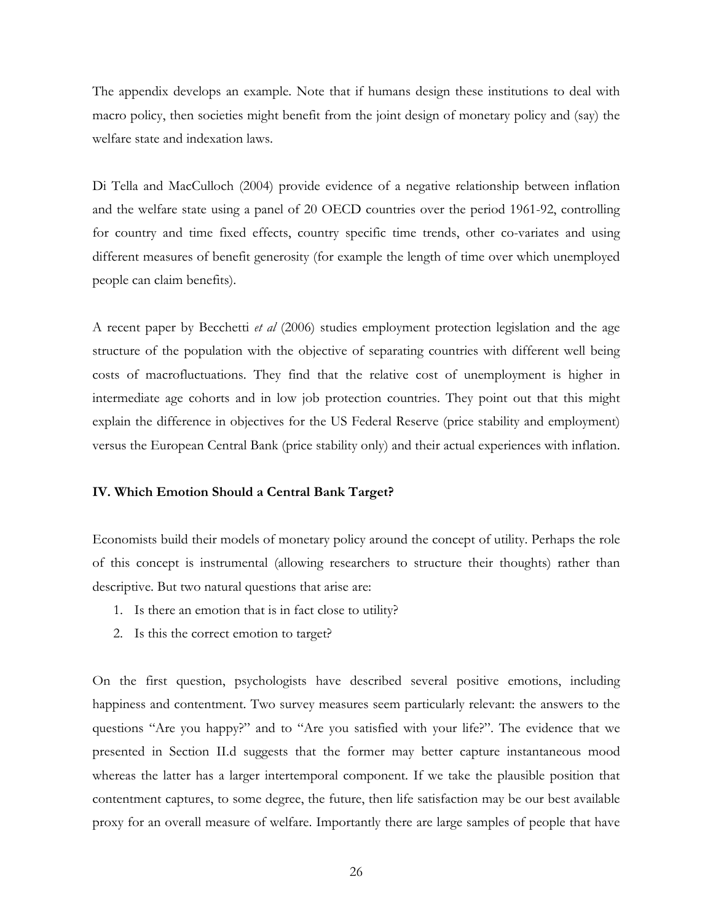The appendix develops an example. Note that if humans design these institutions to deal with macro policy, then societies might benefit from the joint design of monetary policy and (say) the welfare state and indexation laws.

Di Tella and MacCulloch (2004) provide evidence of a negative relationship between inflation and the welfare state using a panel of 20 OECD countries over the period 1961-92, controlling for country and time fixed effects, country specific time trends, other co-variates and using different measures of benefit generosity (for example the length of time over which unemployed people can claim benefits).

A recent paper by Becchetti *et al* (2006) studies employment protection legislation and the age structure of the population with the objective of separating countries with different well being costs of macrofluctuations. They find that the relative cost of unemployment is higher in intermediate age cohorts and in low job protection countries. They point out that this might explain the difference in objectives for the US Federal Reserve (price stability and employment) versus the European Central Bank (price stability only) and their actual experiences with inflation.

### **IV. Which Emotion Should a Central Bank Target?**

Economists build their models of monetary policy around the concept of utility. Perhaps the role of this concept is instrumental (allowing researchers to structure their thoughts) rather than descriptive. But two natural questions that arise are:

- 1. Is there an emotion that is in fact close to utility?
- 2. Is this the correct emotion to target?

On the first question, psychologists have described several positive emotions, including happiness and contentment. Two survey measures seem particularly relevant: the answers to the questions "Are you happy?" and to "Are you satisfied with your life?". The evidence that we presented in Section II.d suggests that the former may better capture instantaneous mood whereas the latter has a larger intertemporal component. If we take the plausible position that contentment captures, to some degree, the future, then life satisfaction may be our best available proxy for an overall measure of welfare. Importantly there are large samples of people that have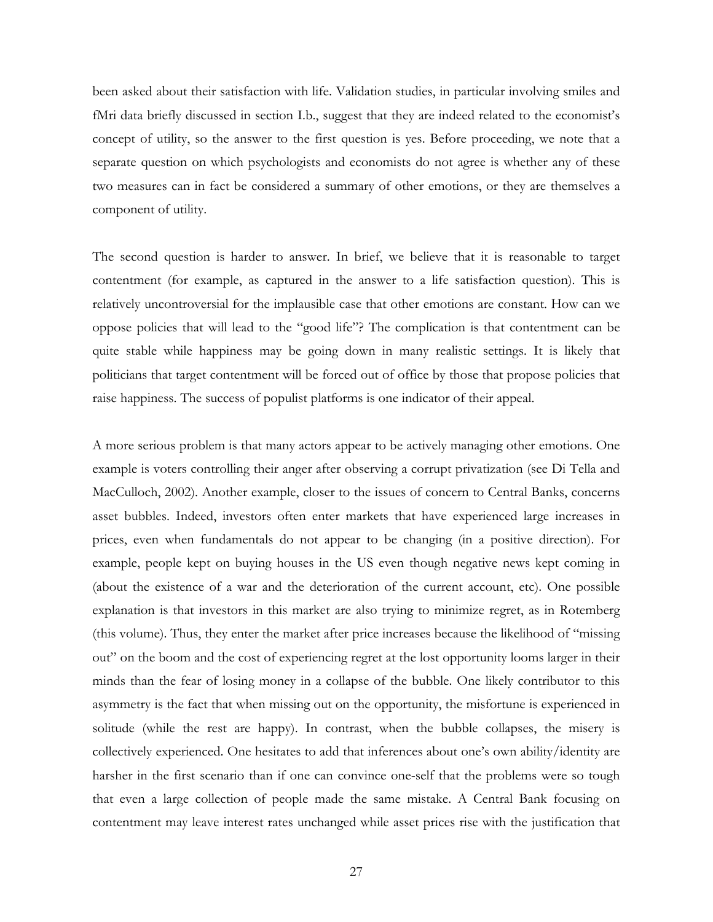been asked about their satisfaction with life. Validation studies, in particular involving smiles and fMri data briefly discussed in section I.b., suggest that they are indeed related to the economist's concept of utility, so the answer to the first question is yes. Before proceeding, we note that a separate question on which psychologists and economists do not agree is whether any of these two measures can in fact be considered a summary of other emotions, or they are themselves a component of utility.

The second question is harder to answer. In brief, we believe that it is reasonable to target contentment (for example, as captured in the answer to a life satisfaction question). This is relatively uncontroversial for the implausible case that other emotions are constant. How can we oppose policies that will lead to the "good life"? The complication is that contentment can be quite stable while happiness may be going down in many realistic settings. It is likely that politicians that target contentment will be forced out of office by those that propose policies that raise happiness. The success of populist platforms is one indicator of their appeal.

A more serious problem is that many actors appear to be actively managing other emotions. One example is voters controlling their anger after observing a corrupt privatization (see Di Tella and MacCulloch, 2002). Another example, closer to the issues of concern to Central Banks, concerns asset bubbles. Indeed, investors often enter markets that have experienced large increases in prices, even when fundamentals do not appear to be changing (in a positive direction). For example, people kept on buying houses in the US even though negative news kept coming in (about the existence of a war and the deterioration of the current account, etc). One possible explanation is that investors in this market are also trying to minimize regret, as in Rotemberg (this volume). Thus, they enter the market after price increases because the likelihood of "missing out" on the boom and the cost of experiencing regret at the lost opportunity looms larger in their minds than the fear of losing money in a collapse of the bubble. One likely contributor to this asymmetry is the fact that when missing out on the opportunity, the misfortune is experienced in solitude (while the rest are happy). In contrast, when the bubble collapses, the misery is collectively experienced. One hesitates to add that inferences about one's own ability/identity are harsher in the first scenario than if one can convince one-self that the problems were so tough that even a large collection of people made the same mistake. A Central Bank focusing on contentment may leave interest rates unchanged while asset prices rise with the justification that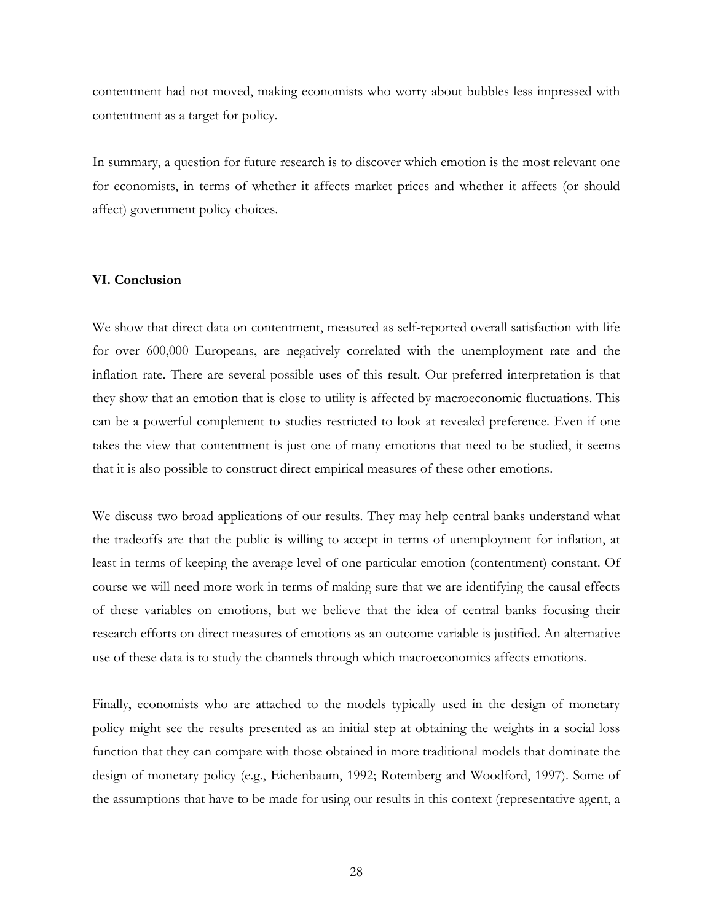contentment had not moved, making economists who worry about bubbles less impressed with contentment as a target for policy.

In summary, a question for future research is to discover which emotion is the most relevant one for economists, in terms of whether it affects market prices and whether it affects (or should affect) government policy choices.

### **VI. Conclusion**

We show that direct data on contentment, measured as self-reported overall satisfaction with life for over 600,000 Europeans, are negatively correlated with the unemployment rate and the inflation rate. There are several possible uses of this result. Our preferred interpretation is that they show that an emotion that is close to utility is affected by macroeconomic fluctuations. This can be a powerful complement to studies restricted to look at revealed preference. Even if one takes the view that contentment is just one of many emotions that need to be studied, it seems that it is also possible to construct direct empirical measures of these other emotions.

We discuss two broad applications of our results. They may help central banks understand what the tradeoffs are that the public is willing to accept in terms of unemployment for inflation, at least in terms of keeping the average level of one particular emotion (contentment) constant. Of course we will need more work in terms of making sure that we are identifying the causal effects of these variables on emotions, but we believe that the idea of central banks focusing their research efforts on direct measures of emotions as an outcome variable is justified. An alternative use of these data is to study the channels through which macroeconomics affects emotions.

Finally, economists who are attached to the models typically used in the design of monetary policy might see the results presented as an initial step at obtaining the weights in a social loss function that they can compare with those obtained in more traditional models that dominate the design of monetary policy (e.g., Eichenbaum, 1992; Rotemberg and Woodford, 1997). Some of the assumptions that have to be made for using our results in this context (representative agent, a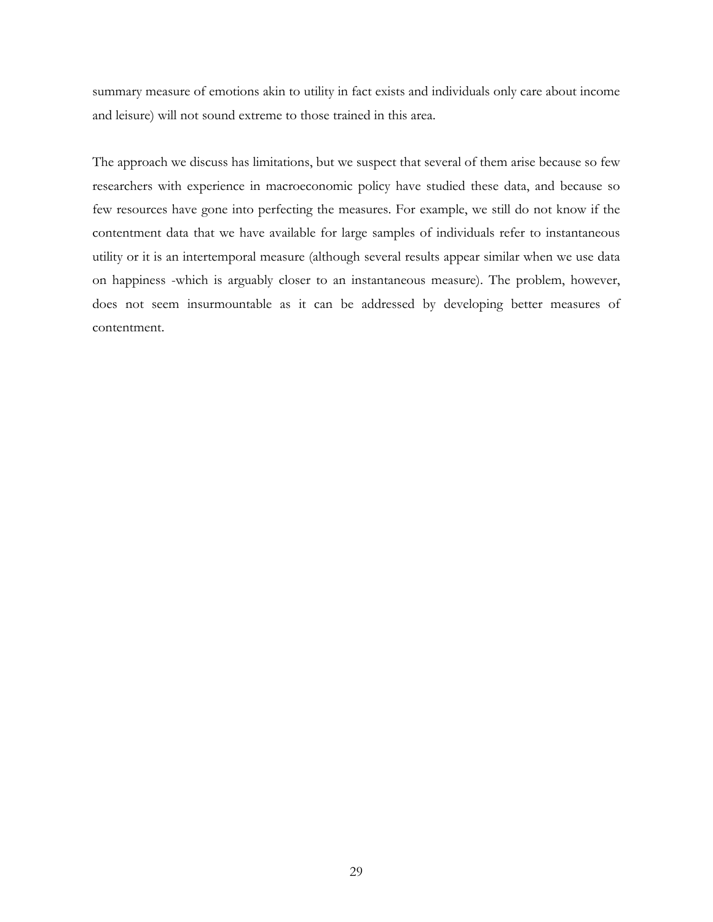summary measure of emotions akin to utility in fact exists and individuals only care about income and leisure) will not sound extreme to those trained in this area.

The approach we discuss has limitations, but we suspect that several of them arise because so few researchers with experience in macroeconomic policy have studied these data, and because so few resources have gone into perfecting the measures. For example, we still do not know if the contentment data that we have available for large samples of individuals refer to instantaneous utility or it is an intertemporal measure (although several results appear similar when we use data on happiness -which is arguably closer to an instantaneous measure). The problem, however, does not seem insurmountable as it can be addressed by developing better measures of contentment.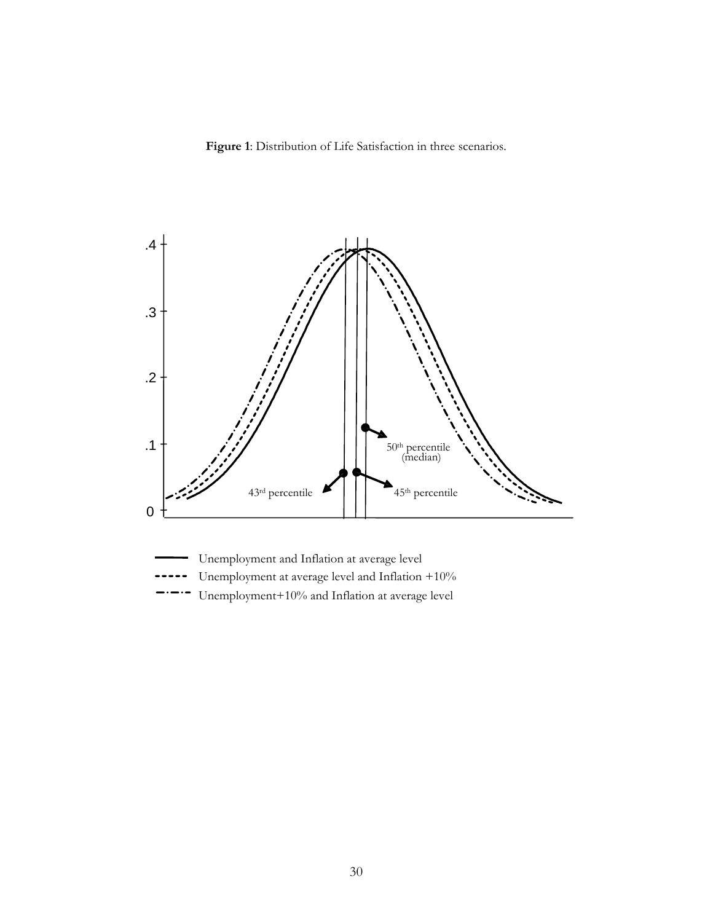**Figure 1**: Distribution of Life Satisfaction in three scenarios.



Unemployment at average level and Inflation +10%

Unemployment+10% and Inflation at average level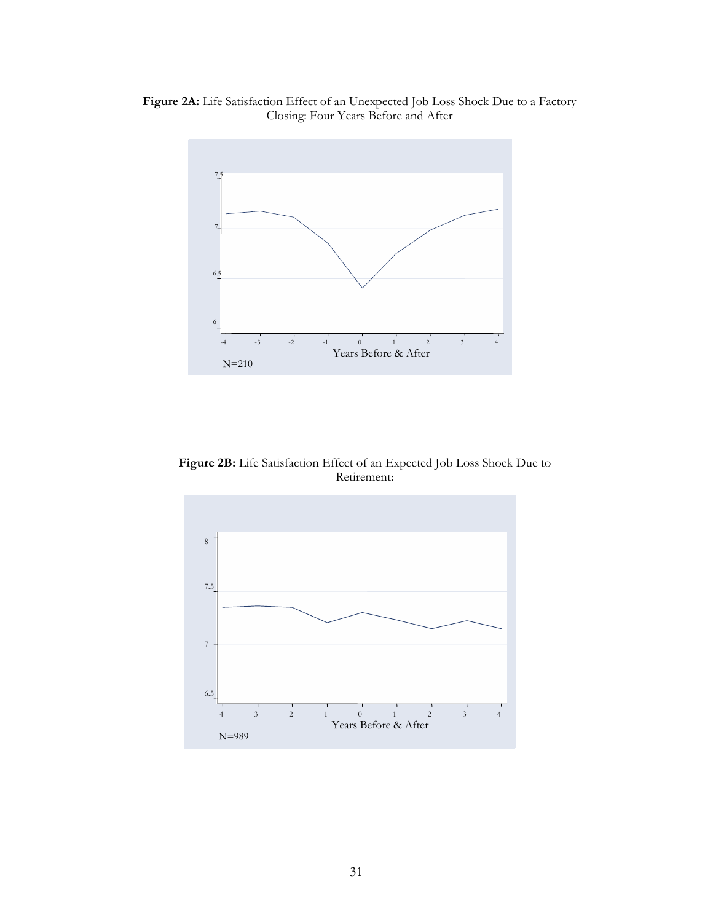



**Figure 2B:** Life Satisfaction Effect of an Expected Job Loss Shock Due to Retirement:

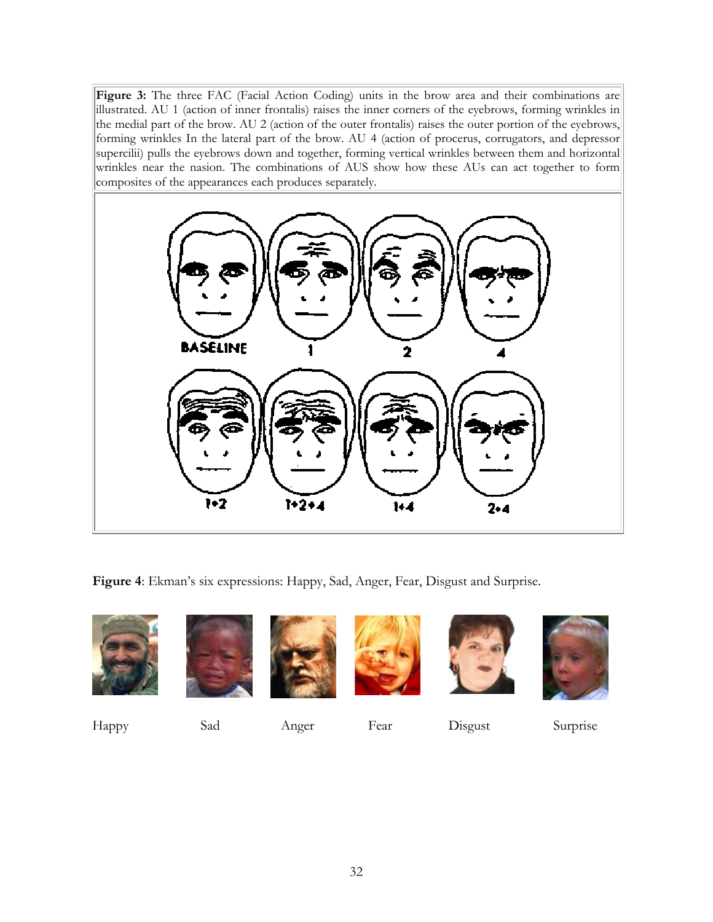Figure 3: The three FAC (Facial Action Coding) units in the brow area and their combinations are illustrated. AU 1 (action of inner frontalis) raises the inner corners of the eyebrows, forming wrinkles in the medial part of the brow. AU 2 (action of the outer frontalis) raises the outer portion of the eyebrows, forming wrinkles In the lateral part of the brow. AU 4 (action of procerus, corrugators, and depressor supercilii) pulls the eyebrows down and together, forming vertical wrinkles between them and horizontal wrinkles near the nasion. The combinations of AUS show how these AUs can act together to form composites of the appearances each produces separately.



**Figure 4**: Ekman's six expressions: Happy, Sad, Anger, Fear, Disgust and Surprise.













Happy Sad Anger Fear Disgust Surprise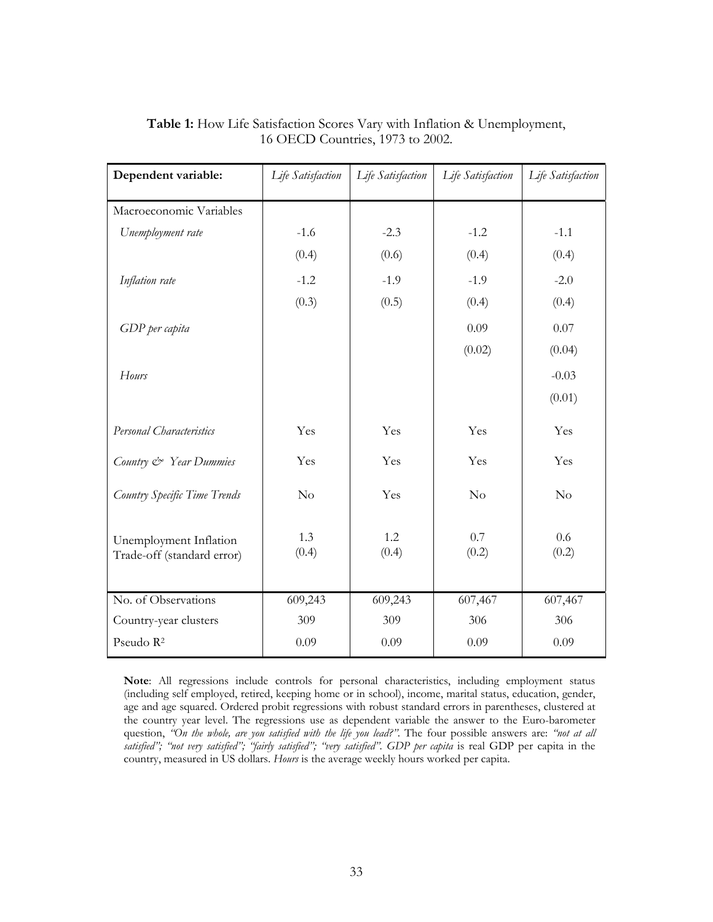| Dependent variable:                                  | Life Satisfaction | Life Satisfaction | Life Satisfaction | Life Satisfaction |
|------------------------------------------------------|-------------------|-------------------|-------------------|-------------------|
| Macroeconomic Variables                              |                   |                   |                   |                   |
| Unemployment rate                                    | $-1.6$            | $-2.3$            | $-1.2$            | $-1.1$            |
|                                                      | (0.4)             | (0.6)             | (0.4)             | (0.4)             |
| Inflation rate                                       | $-1.2$            | $-1.9$            | $-1.9$            | $-2.0$            |
|                                                      | (0.3)             | (0.5)             | (0.4)             | (0.4)             |
| GDP per capita                                       |                   |                   | 0.09              | 0.07              |
|                                                      |                   |                   | (0.02)            | (0.04)            |
| Hours                                                |                   |                   |                   | $-0.03$           |
|                                                      |                   |                   |                   | (0.01)            |
| Personal Characteristics                             | Yes               | Yes               | Yes               | Yes               |
| Country & Year Dummies                               | Yes               | Yes               | Yes               | Yes               |
| Country Specific Time Trends                         | No                | Yes               | No                | No                |
| Unemployment Inflation<br>Trade-off (standard error) | 1.3<br>(0.4)      | 1.2<br>(0.4)      | 0.7<br>(0.2)      | 0.6<br>(0.2)      |
| No. of Observations                                  | 609,243           | 609,243           | 607,467           | 607,467           |
| Country-year clusters                                | 309               | 309               | 306               | 306               |
| Pseudo R <sup>2</sup>                                | 0.09              | 0.09              | 0.09              | 0.09              |

**Table 1:** How Life Satisfaction Scores Vary with Inflation & Unemployment, 16 OECD Countries, 1973 to 2002.

**Note**: All regressions include controls for personal characteristics, including employment status (including self employed, retired, keeping home or in school), income, marital status, education, gender, age and age squared. Ordered probit regressions with robust standard errors in parentheses, clustered at the country year level. The regressions use as dependent variable the answer to the Euro-barometer question, *"On the whole, are you satisfied with the life you lead?"*. The four possible answers are: *"not at all satisfied"; "not very satisfied"; "fairly satisfied"; "very satisfied"*. *GDP per capita* is real GDP per capita in the country, measured in US dollars. *Hours* is the average weekly hours worked per capita.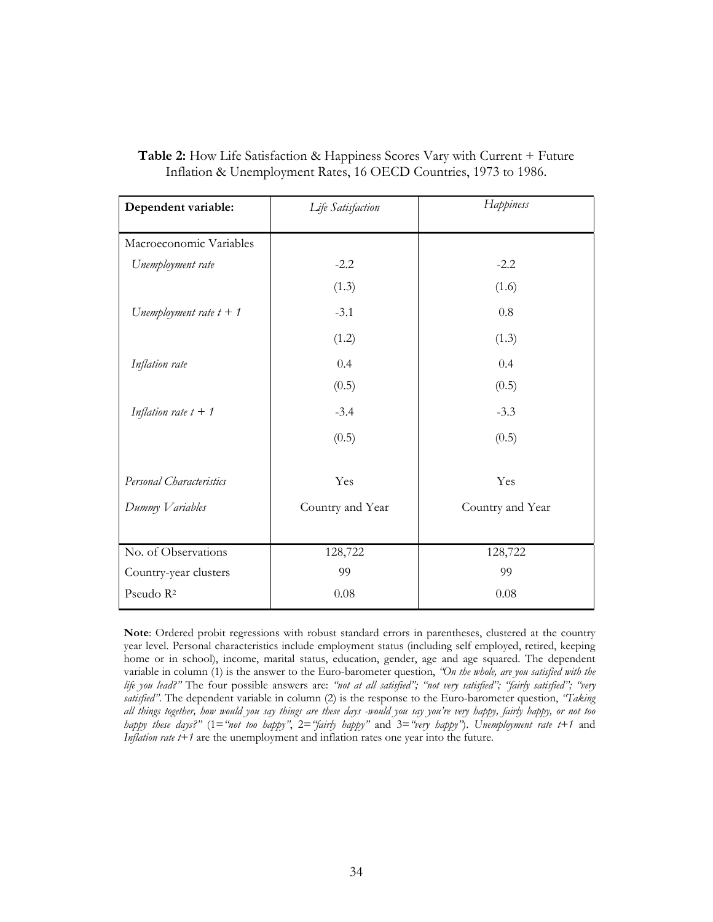| Dependent variable:       | Life Satisfaction | Happiness        |
|---------------------------|-------------------|------------------|
| Macroeconomic Variables   |                   |                  |
| Unemployment rate         | $-2.2$            | $-2.2$           |
|                           | (1.3)             | (1.6)            |
| Unemployment rate $t + 1$ | $-3.1$            | 0.8              |
|                           | (1.2)             | (1.3)            |
| Inflation rate            | 0.4               | 0.4              |
|                           | (0.5)             | (0.5)            |
| Inflation rate $t + 1$    | $-3.4$            | $-3.3$           |
|                           | (0.5)             | (0.5)            |
| Personal Characteristics  | Yes               | Yes              |
| Dummy Variables           | Country and Year  | Country and Year |
|                           |                   |                  |
| No. of Observations       | 128,722           | 128,722          |
| Country-year clusters     | 99                | 99               |
| Pseudo R <sup>2</sup>     | 0.08              | 0.08             |

**Table 2:** How Life Satisfaction & Happiness Scores Vary with Current + Future Inflation & Unemployment Rates, 16 OECD Countries, 1973 to 1986.

**Note**: Ordered probit regressions with robust standard errors in parentheses, clustered at the country year level. Personal characteristics include employment status (including self employed, retired, keeping home or in school), income, marital status, education, gender, age and age squared. The dependent variable in column (1) is the answer to the Euro-barometer question, *"On the whole, are you satisfied with the life you lead?"* The four possible answers are: *"not at all satisfied"; "not very satisfied"; "fairly satisfied"; "very satisfied"*. The dependent variable in column (2) is the response to the Euro-barometer question, *"Taking all things together, how would you say things are these days -would you say you're very happy, fairly happy, or not too happy these days?"* (1=*"not too happy"*, 2=*"fairly happy"* and 3=*"very happy"*). *Unemployment rate t+1* and *Inflation rate t+1* are the unemployment and inflation rates one year into the future.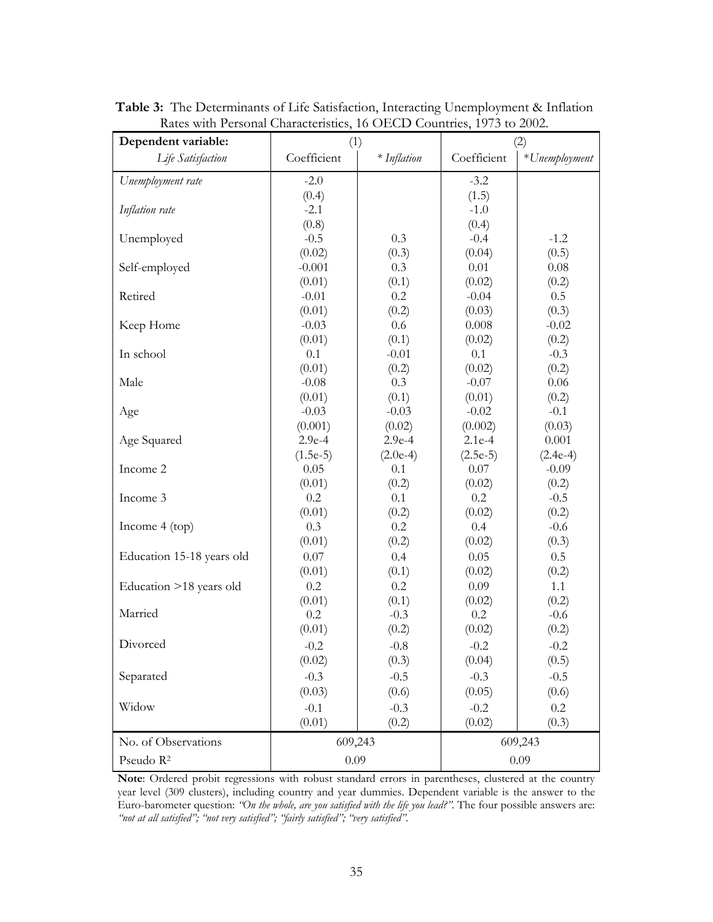| Dependent variable:       | (1)               |               | (2)               |               |
|---------------------------|-------------------|---------------|-------------------|---------------|
| Life Satisfaction         | Coefficient       | $*$ Inflation | Coefficient       | *Unemployment |
| Unemployment rate         | $-2.0$            |               | $-3.2$            |               |
|                           | (0.4)             |               | (1.5)             |               |
| Inflation rate            | $-2.1$            |               | $-1.0$            |               |
|                           | (0.8)             |               | (0.4)             |               |
| Unemployed                | $-0.5$            | 0.3           | $-0.4$            | $-1.2$        |
|                           | (0.02)            | (0.3)         | (0.04)            | (0.5)         |
| Self-employed             | $-0.001$          | 0.3           | 0.01              | 0.08          |
|                           | (0.01)<br>$-0.01$ | (0.1)<br>0.2  | (0.02)<br>$-0.04$ | (0.2)<br>0.5  |
| Retired                   | (0.01)            | (0.2)         | (0.03)            | (0.3)         |
| Keep Home                 | $-0.03$           | 0.6           | 0.008             | $-0.02$       |
|                           | (0.01)            | (0.1)         | (0.02)            | (0.2)         |
| In school                 | 0.1               | $-0.01$       | 0.1               | $-0.3$        |
|                           | (0.01)            | (0.2)         | (0.02)            | (0.2)         |
| Male                      | $-0.08$           | 0.3           | $-0.07$           | 0.06          |
|                           | (0.01)            | (0.1)         | (0.01)            | (0.2)         |
| Age                       | $-0.03$           | $-0.03$       | $-0.02$           | $-0.1$        |
|                           | (0.001)           | (0.02)        | (0.002)           | (0.03)        |
| Age Squared               | $2.9e-4$          | $2.9e-4$      | $2.1e-4$          | 0.001         |
|                           | $(1.5e-5)$        | $(2.0e-4)$    | $(2.5e-5)$        | $(2.4e-4)$    |
| Income 2                  | 0.05              | 0.1           | 0.07              | $-0.09$       |
|                           | (0.01)            | (0.2)         | (0.02)            | (0.2)         |
| Income 3                  | 0.2               | 0.1           | 0.2               | $-0.5$        |
|                           | (0.01)            | (0.2)         | (0.02)            | (0.2)         |
| Income $4 (top)$          | 0.3               | 0.2           | 0.4               | $-0.6$        |
|                           | (0.01)            | (0.2)         | (0.02)            | (0.3)         |
| Education 15-18 years old | 0.07              | 0.4           | 0.05              | 0.5           |
| Education >18 years old   | (0.01)<br>0.2     | (0.1)<br>0.2  | (0.02)<br>0.09    | (0.2)<br>1.1  |
|                           | (0.01)            | (0.1)         | (0.02)            | (0.2)         |
| Married                   | 0.2               | $-0.3$        | 0.2               | $-0.6$        |
|                           | (0.01)            | (0.2)         | (0.02)            | (0.2)         |
| Divorced                  | $-0.2$            | $-0.8$        | $-0.2$            | $-0.2$        |
|                           | (0.02)            | (0.3)         | (0.04)            | (0.5)         |
| Separated                 | $-0.3$            | $-0.5$        | $-0.3$            | $-0.5$        |
|                           | (0.03)            | (0.6)         | (0.05)            | (0.6)         |
| Widow                     | $-0.1$            | $-0.3$        | $-0.2$            | $0.2\,$       |
|                           | (0.01)            | (0.2)         | (0.02)            | (0.3)         |
| No. of Observations       | 609,243           |               | 609,243           |               |
| Pseudo R <sup>2</sup>     | 0.09              |               |                   | 0.09          |

**Table 3:** The Determinants of Life Satisfaction, Interacting Unemployment & Inflation Rates with Personal Characteristics, 16 OECD Countries, 1973 to 2002.

**Note**: Ordered probit regressions with robust standard errors in parentheses, clustered at the country year level (309 clusters), including country and year dummies. Dependent variable is the answer to the Euro-barometer question: *"On the whole, are you satisfied with the life you lead?"*. The four possible answers are: *"not at all satisfied"; "not very satisfied"; "fairly satisfied"; "very satisfied"*.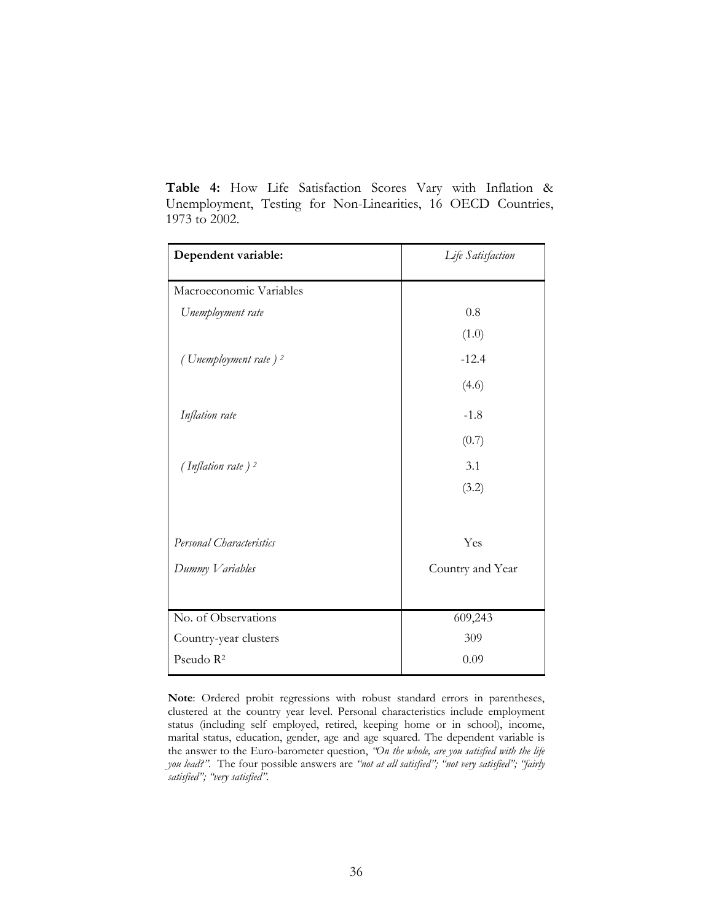| Dependent variable:              | Life Satisfaction |  |
|----------------------------------|-------------------|--|
| Macroeconomic Variables          |                   |  |
| Unemployment rate                | 0.8               |  |
|                                  | (1.0)             |  |
| (Unemployment rate) <sup>2</sup> | $-12.4$           |  |
|                                  | (4.6)             |  |
| Inflation rate                   | $-1.8$            |  |
|                                  | (0.7)             |  |
| (Inflation rate) <sup>2</sup>    | 3.1               |  |
|                                  | (3.2)             |  |
| Personal Characteristics         | Yes               |  |
| Dummy Variables                  | Country and Year  |  |
|                                  |                   |  |
| No. of Observations              | 609,243           |  |
| Country-year clusters            | 309               |  |
| Pseudo R <sup>2</sup>            | 0.09              |  |

**Table 4:** How Life Satisfaction Scores Vary with Inflation & Unemployment, Testing for Non-Linearities, 16 OECD Countries, 1973 to 2002.

**Note**: Ordered probit regressions with robust standard errors in parentheses, clustered at the country year level. Personal characteristics include employment status (including self employed, retired, keeping home or in school), income, marital status, education, gender, age and age squared. The dependent variable is the answer to the Euro-barometer question, *"On the whole, are you satisfied with the life you lead?"*. The four possible answers are *"not at all satisfied"; "not very satisfied"; "fairly satisfied"; "very satisfied"*.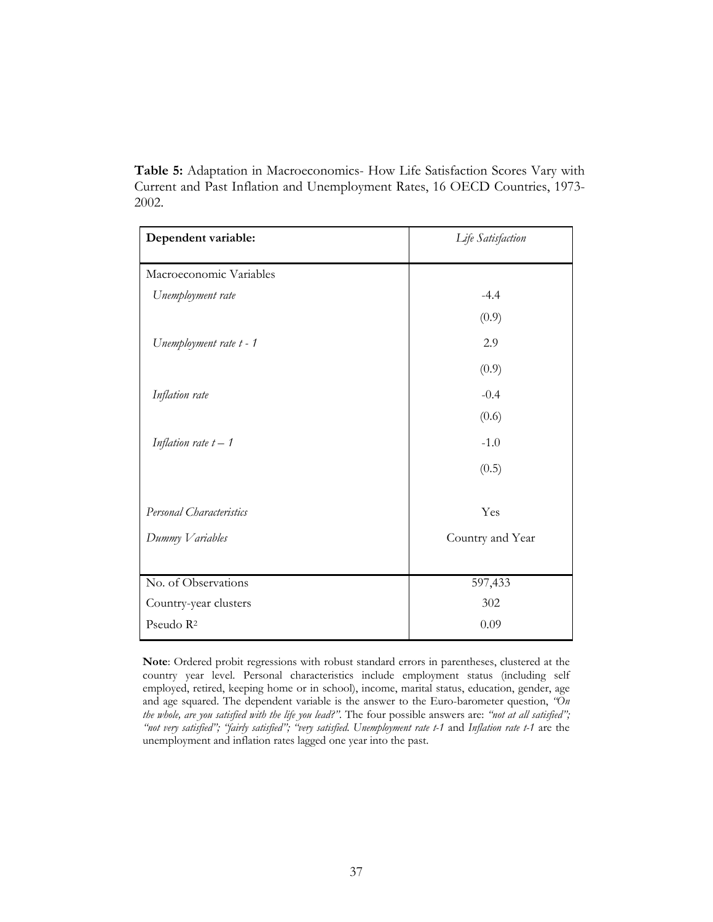**Table 5:** Adaptation in Macroeconomics- How Life Satisfaction Scores Vary with Current and Past Inflation and Unemployment Rates, 16 OECD Countries, 1973- 2002.

| Dependent variable:      | Life Satisfaction |
|--------------------------|-------------------|
| Macroeconomic Variables  |                   |
| Unemployment rate        | $-4.4$            |
|                          | (0.9)             |
| Unemployment rate t - 1  | 2.9               |
|                          | (0.9)             |
| Inflation rate           | $-0.4$            |
|                          | (0.6)             |
| Inflation rate $t-1$     | $-1.0$            |
|                          | (0.5)             |
| Personal Characteristics | Yes               |
| Dummy Variables          | Country and Year  |
|                          |                   |
| No. of Observations      | 597,433           |
| Country-year clusters    | 302               |
| Pseudo R <sup>2</sup>    | 0.09              |

**Note**: Ordered probit regressions with robust standard errors in parentheses, clustered at the country year level. Personal characteristics include employment status (including self employed, retired, keeping home or in school), income, marital status, education, gender, age and age squared. The dependent variable is the answer to the Euro-barometer question, *"On the whole, are you satisfied with the life you lead?"*. The four possible answers are: *"not at all satisfied"; "not very satisfied"; "fairly satisfied"; "very satisfied*. *Unemployment rate t-1* and *Inflation rate t-1* are the unemployment and inflation rates lagged one year into the past.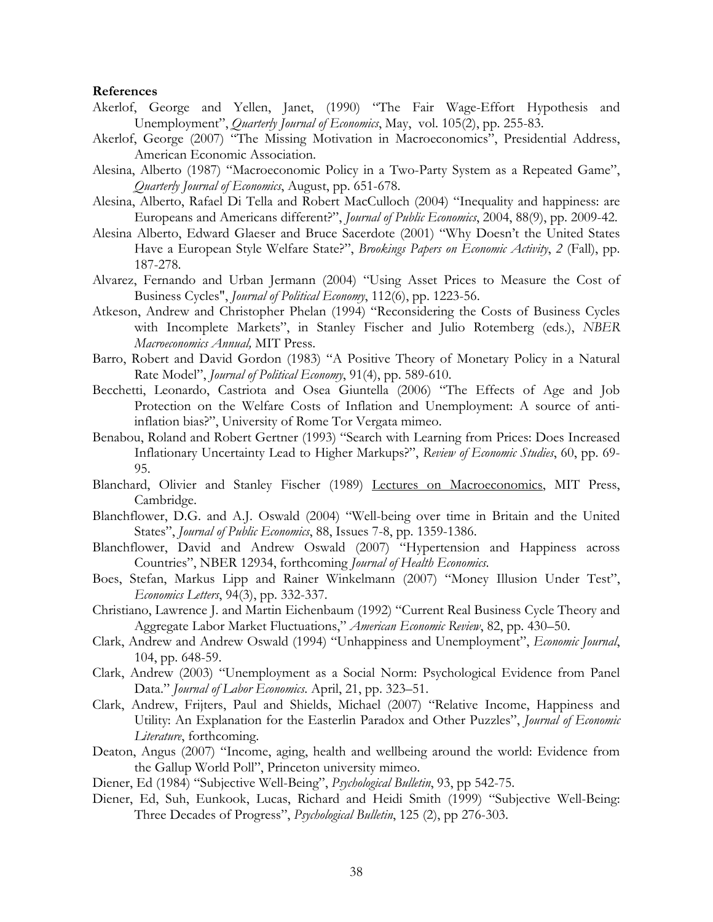#### **References**

- Akerlof, George and Yellen, Janet, (1990) "The Fair Wage-Effort Hypothesis and Unemployment", *Quarterly Journal of Economics*, May, vol. 105(2), pp. 255-83.
- Akerlof, George (2007) "The Missing Motivation in Macroeconomics", Presidential Address, American Economic Association.
- Alesina, Alberto (1987) "Macroeconomic Policy in a Two-Party System as a Repeated Game", *Quarterly Journal of Economics*, August, pp. 651-678.
- Alesina, Alberto, Rafael Di Tella and Robert MacCulloch (2004) "Inequality and happiness: are Europeans and Americans different?", *Journal of Public Economics*, 2004, 88(9), pp. 2009-42.
- Alesina Alberto, Edward Glaeser and Bruce Sacerdote (2001) "Why Doesn't the United States Have a European Style Welfare State?", *Brookings Papers on Economic Activity*, *2* (Fall), pp. 187-278.
- Alvarez, Fernando and Urban Jermann (2004) "Using Asset Prices to Measure the Cost of Business Cycles", *Journal of Political Economy*, 112(6), pp. 1223-56.
- Atkeson, Andrew and Christopher Phelan (1994) "Reconsidering the Costs of Business Cycles with Incomplete Markets", in Stanley Fischer and Julio Rotemberg (eds.), *NBER Macroeconomics Annual,* MIT Press.
- Barro, Robert and David Gordon (1983) "A Positive Theory of Monetary Policy in a Natural Rate Model", *Journal of Political Economy*, 91(4), pp. 589-610.
- Becchetti, Leonardo, Castriota and Osea Giuntella (2006) "The Effects of Age and Job Protection on the Welfare Costs of Inflation and Unemployment: A source of antiinflation bias?", University of Rome Tor Vergata mimeo.
- Benabou, Roland and Robert Gertner (1993) "Search with Learning from Prices: Does Increased Inflationary Uncertainty Lead to Higher Markups?", *Review of Economic Studies*, 60, pp. 69- 95.
- Blanchard, Olivier and Stanley Fischer (1989) Lectures on Macroeconomics, MIT Press, Cambridge.
- Blanchflower, D.G. and A.J. Oswald (2004) "Well-being over time in Britain and the United States", *Journal of Public Economics*, 88, Issues 7-8, pp. 1359-1386.
- Blanchflower, David and Andrew Oswald (2007) "Hypertension and Happiness across Countries", NBER 12934, forthcoming *Journal of Health Economics*.
- Boes, Stefan, Markus Lipp and Rainer Winkelmann (2007) "Money Illusion Under Test", *Economics Letters*, 94(3), pp. 332-337.
- Christiano, Lawrence J. and Martin Eichenbaum (1992) "Current Real Business Cycle Theory and Aggregate Labor Market Fluctuations," *American Economic Review*, 82, pp. 430–50.
- Clark, Andrew and Andrew Oswald (1994) "Unhappiness and Unemployment", *Economic Journal*, 104, pp. 648-59.
- Clark, Andrew (2003) "Unemployment as a Social Norm: Psychological Evidence from Panel Data." *Journal of Labor Economics*. April, 21, pp. 323–51.
- Clark, Andrew, Frijters, Paul and Shields, Michael (2007) "Relative Income, Happiness and Utility: An Explanation for the Easterlin Paradox and Other Puzzles", *Journal of Economic Literature*, forthcoming.
- Deaton, Angus (2007) "Income, aging, health and wellbeing around the world: Evidence from the Gallup World Poll", Princeton university mimeo.
- Diener, Ed (1984) "Subjective Well-Being", *Psychological Bulletin*, 93, pp 542-75.
- Diener, Ed, Suh, Eunkook, Lucas, Richard and Heidi Smith (1999) "Subjective Well-Being: Three Decades of Progress", *Psychological Bulletin*, 125 (2), pp 276-303.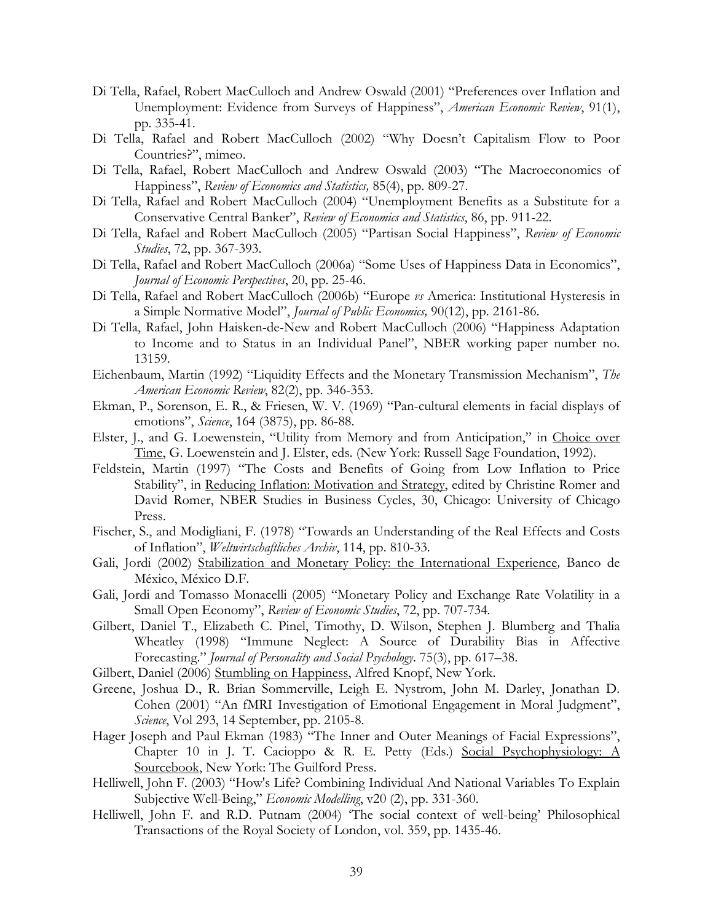- Di Tella, Rafael, Robert MacCulloch and Andrew Oswald (2001) "Preferences over Inflation and Unemployment: Evidence from Surveys of Happiness", *American Economic Review*, 91(1), pp. 335-41.
- Di Tella, Rafael and Robert MacCulloch (2002) "Why Doesn't Capitalism Flow to Poor Countries?", mimeo.
- Di Tella, Rafael, Robert MacCulloch and Andrew Oswald (2003) "The Macroeconomics of Happiness", *Review of Economics and Statistics,* 85(4), pp. 809-27.
- Di Tella, Rafael and Robert MacCulloch (2004) "Unemployment Benefits as a Substitute for a Conservative Central Banker", *Review of Economics and Statistics*, 86, pp. 911-22.
- Di Tella, Rafael and Robert MacCulloch (2005) "Partisan Social Happiness", *Review of Economic Studies*, 72, pp. 367-393.
- Di Tella, Rafael and Robert MacCulloch (2006a) "Some Uses of Happiness Data in Economics", *Journal of Economic Perspectives*, 20, pp. 25-46.
- Di Tella, Rafael and Robert MacCulloch (2006b) "Europe *vs* America: Institutional Hysteresis in a Simple Normative Model", *Journal of Public Economics,* 90(12), pp. 2161-86.
- Di Tella, Rafael, John Haisken-de-New and Robert MacCulloch (2006) "Happiness Adaptation to Income and to Status in an Individual Panel", NBER working paper number no. 13159.
- Eichenbaum, Martin (1992) "Liquidity Effects and the Monetary Transmission Mechanism", *The American Economic Review*, 82(2), pp. 346-353.
- Ekman, P., Sorenson, E. R., & Friesen, W. V. (1969) "Pan-cultural elements in facial displays of emotions", *Science*, 164 (3875), pp. 86-88.
- Elster, J., and G. Loewenstein, "Utility from Memory and from Anticipation," in Choice over Time, G. Loewenstein and J. Elster, eds. (New York: Russell Sage Foundation, 1992).
- Feldstein, Martin (1997) "The Costs and Benefits of Going from Low Inflation to Price Stability", in Reducing Inflation: Motivation and Strategy, edited by Christine Romer and David Romer, NBER Studies in Business Cycles, 30, Chicago: University of Chicago Press.
- Fischer, S., and Modigliani, F. (1978) "Towards an Understanding of the Real Effects and Costs of Inflation", *Weltwirtschaftliches Archiv*, 114, pp. 810-33.
- Gali, Jordi (2002) Stabilization and Monetary Policy: the International Experience*,* Banco de México, México D.F.
- Gali, Jordi and Tomasso Monacelli (2005) "Monetary Policy and Exchange Rate Volatility in a Small Open Economy", *Review of Economic Studies*, 72, pp. 707-734*.*
- Gilbert, Daniel T., Elizabeth C. Pinel, Timothy, D. Wilson, Stephen J. Blumberg and Thalia Wheatley (1998) "Immune Neglect: A Source of Durability Bias in Affective Forecasting." *Journal of Personality and Social Psychology*. 75(3), pp. 617–38.
- Gilbert, Daniel (2006) Stumbling on Happiness, Alfred Knopf, New York.
- Greene, Joshua D., R. Brian Sommerville, Leigh E. Nystrom, John M. Darley, Jonathan D. Cohen (2001) "An fMRI Investigation of Emotional Engagement in Moral Judgment", *Science*, Vol 293, 14 September, pp. 2105-8.
- Hager Joseph and Paul Ekman (1983) "The Inner and Outer Meanings of Facial Expressions", Chapter 10 in J. T. Cacioppo & R. E. Petty (Eds.) Social Psychophysiology: A Sourcebook, New York: The Guilford Press.
- Helliwell, John F. (2003) "How's Life? Combining Individual And National Variables To Explain Subjective Well-Being," *Economic Modelling*, v20 (2), pp. 331-360.
- Helliwell, John F. and R.D. Putnam (2004) 'The social context of well-being' Philosophical Transactions of the Royal Society of London, vol. 359, pp. 1435-46.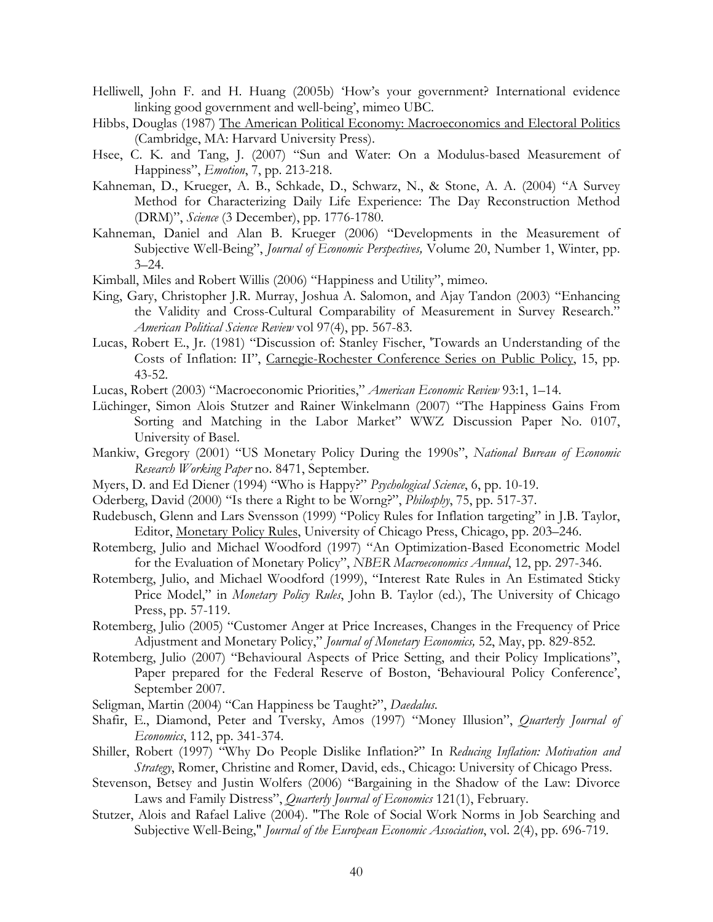- Helliwell, John F. and H. Huang (2005b) 'How's your government? International evidence linking good government and well-being', mimeo UBC.
- Hibbs, Douglas (1987) The American Political Economy: Macroeconomics and Electoral Politics (Cambridge, MA: Harvard University Press).
- Hsee, C. K. and Tang, J. (2007) "Sun and Water: On a Modulus-based Measurement of Happiness", *Emotion*, 7, pp. 213-218.
- Kahneman, D., Krueger, A. B., Schkade, D., Schwarz, N., & Stone, A. A. (2004) "A Survey Method for Characterizing Daily Life Experience: The Day Reconstruction Method (DRM)", *Science* (3 December), pp. 1776-1780.
- Kahneman, Daniel and Alan B. Krueger (2006) "Developments in the Measurement of Subjective Well-Being", *Journal of Economic Perspectives,* Volume 20, Number 1, Winter, pp.  $3 - 24.$
- Kimball, Miles and Robert Willis (2006) "Happiness and Utility", mimeo.
- King, Gary, Christopher J.R. Murray, Joshua A. Salomon, and Ajay Tandon (2003) "Enhancing the Validity and Cross-Cultural Comparability of Measurement in Survey Research." *American Political Science Review* vol 97(4), pp. 567-83.
- Lucas, Robert E., Jr. (1981) "Discussion of: Stanley Fischer, 'Towards an Understanding of the Costs of Inflation: II", Carnegie-Rochester Conference Series on Public Policy, 15, pp. 43-52.

Lucas, Robert (2003) "Macroeconomic Priorities," *American Economic Review* 93:1, 1–14.

- Lüchinger, Simon Alois Stutzer and Rainer Winkelmann (2007) "The Happiness Gains From Sorting and Matching in the Labor Market" WWZ Discussion Paper No. 0107, University of Basel.
- Mankiw, Gregory (2001) "US Monetary Policy During the 1990s", *National Bureau of Economic Research Working Paper* no. 8471, September.
- Myers, D. and Ed Diener (1994) "Who is Happy?" *Psychological Science*, 6, pp. 10-19.
- Oderberg, David (2000) "Is there a Right to be Worng?", *Philosphy*, 75, pp. 517-37.
- Rudebusch, Glenn and Lars Svensson (1999) "Policy Rules for Inflation targeting" in J.B. Taylor, Editor, Monetary Policy Rules, University of Chicago Press, Chicago, pp. 203–246.
- Rotemberg, Julio and Michael Woodford (1997) "An Optimization-Based Econometric Model for the Evaluation of Monetary Policy", *NBER Macroeconomics Annual*, 12, pp. 297-346.
- Rotemberg, Julio, and Michael Woodford (1999), "Interest Rate Rules in An Estimated Sticky Price Model," in *Monetary Policy Rules*, John B. Taylor (ed.), The University of Chicago Press, pp. 57-119.
- Rotemberg, Julio (2005) "Customer Anger at Price Increases, Changes in the Frequency of Price Adjustment and Monetary Policy," *Journal of Monetary Economics,* 52, May, pp. 829-852.
- Rotemberg, Julio (2007) "Behavioural Aspects of Price Setting, and their Policy Implications", Paper prepared for the Federal Reserve of Boston, 'Behavioural Policy Conference', September 2007.
- Seligman, Martin (2004) "Can Happiness be Taught?", *Daedalus*.
- Shafir, E., Diamond, Peter and Tversky, Amos (1997) "Money Illusion", *Quarterly Journal of Economics*, 112, pp. 341-374.
- Shiller, Robert (1997) "Why Do People Dislike Inflation?" In *Reducing Inflation: Motivation and Strategy*, Romer, Christine and Romer, David, eds., Chicago: University of Chicago Press.
- Stevenson, Betsey and Justin Wolfers (2006) "Bargaining in the Shadow of the Law: Divorce Laws and Family Distress", *Quarterly Journal of Economics* 121(1), February.
- Stutzer, Alois and Rafael Lalive (2004). "The Role of Social Work Norms in Job Searching and Subjective Well-Being," *Journal of the European Economic Association*, vol. 2(4), pp. 696-719.